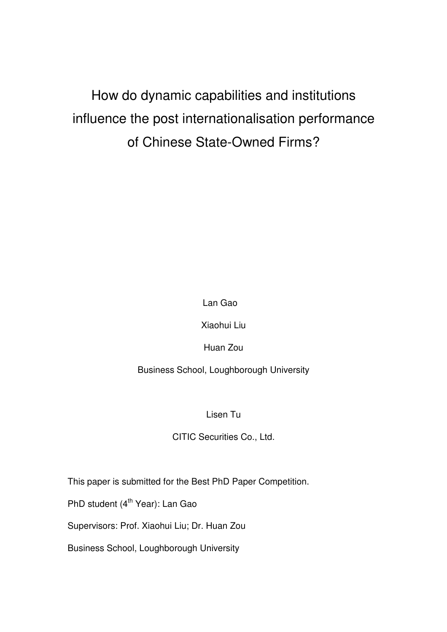# How do dynamic capabilities and institutions influence the post internationalisation performance of Chinese State-Owned Firms?

Lan Gao

Xiaohui Liu

Huan Zou

Business School, Loughborough University

Lisen Tu

CITIC Securities Co., Ltd.

This paper is submitted for the Best PhD Paper Competition.

PhD student (4<sup>th</sup> Year): Lan Gao

Supervisors: Prof. Xiaohui Liu; Dr. Huan Zou

Business School, Loughborough University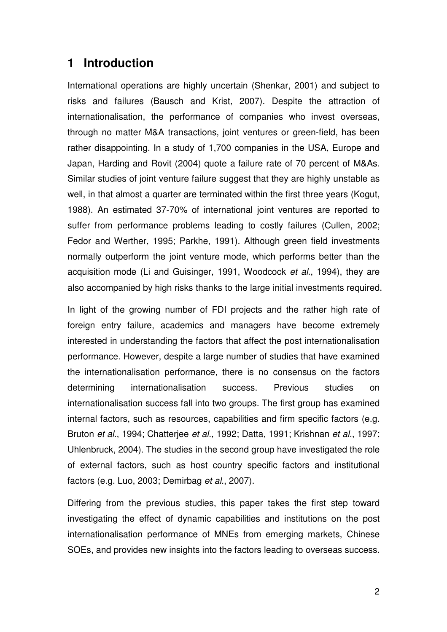# **1 Introduction**

International operations are highly uncertain (Shenkar, 2001) and subject to risks and failures (Bausch and Krist, 2007). Despite the attraction of internationalisation, the performance of companies who invest overseas, through no matter M&A transactions, joint ventures or green-field, has been rather disappointing. In a study of 1,700 companies in the USA, Europe and Japan, Harding and Rovit (2004) quote a failure rate of 70 percent of M&As. Similar studies of joint venture failure suggest that they are highly unstable as well, in that almost a quarter are terminated within the first three years (Kogut, 1988). An estimated 37-70% of international joint ventures are reported to suffer from performance problems leading to costly failures (Cullen, 2002; Fedor and Werther, 1995; Parkhe, 1991). Although green field investments normally outperform the joint venture mode, which performs better than the acquisition mode (Li and Guisinger, 1991, Woodcock et al., 1994), they are also accompanied by high risks thanks to the large initial investments required.

In light of the growing number of FDI projects and the rather high rate of foreign entry failure, academics and managers have become extremely interested in understanding the factors that affect the post internationalisation performance. However, despite a large number of studies that have examined the internationalisation performance, there is no consensus on the factors determining internationalisation success. Previous studies on internationalisation success fall into two groups. The first group has examined internal factors, such as resources, capabilities and firm specific factors (e.g. Bruton et al., 1994; Chatterjee et al., 1992; Datta, 1991; Krishnan et al., 1997; Uhlenbruck, 2004). The studies in the second group have investigated the role of external factors, such as host country specific factors and institutional factors (e.g. Luo, 2003; Demirbag et al., 2007).

Differing from the previous studies, this paper takes the first step toward investigating the effect of dynamic capabilities and institutions on the post internationalisation performance of MNEs from emerging markets, Chinese SOEs, and provides new insights into the factors leading to overseas success.

2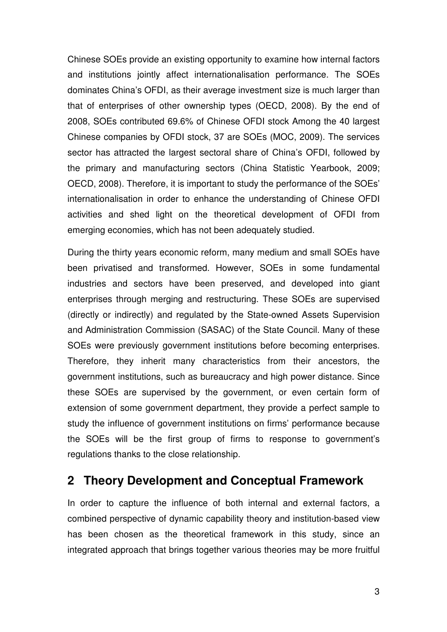Chinese SOEs provide an existing opportunity to examine how internal factors and institutions jointly affect internationalisation performance. The SOEs dominates China's OFDI, as their average investment size is much larger than that of enterprises of other ownership types (OECD, 2008). By the end of 2008, SOEs contributed 69.6% of Chinese OFDI stock Among the 40 largest Chinese companies by OFDI stock, 37 are SOEs (MOC, 2009). The services sector has attracted the largest sectoral share of China's OFDI, followed by the primary and manufacturing sectors (China Statistic Yearbook, 2009; OECD, 2008). Therefore, it is important to study the performance of the SOEs' internationalisation in order to enhance the understanding of Chinese OFDI activities and shed light on the theoretical development of OFDI from emerging economies, which has not been adequately studied.

During the thirty years economic reform, many medium and small SOEs have been privatised and transformed. However, SOEs in some fundamental industries and sectors have been preserved, and developed into giant enterprises through merging and restructuring. These SOEs are supervised (directly or indirectly) and regulated by the State-owned Assets Supervision and Administration Commission (SASAC) of the State Council. Many of these SOEs were previously government institutions before becoming enterprises. Therefore, they inherit many characteristics from their ancestors, the government institutions, such as bureaucracy and high power distance. Since these SOEs are supervised by the government, or even certain form of extension of some government department, they provide a perfect sample to study the influence of government institutions on firms' performance because the SOEs will be the first group of firms to response to government's regulations thanks to the close relationship.

# **2 Theory Development and Conceptual Framework**

In order to capture the influence of both internal and external factors, a combined perspective of dynamic capability theory and institution-based view has been chosen as the theoretical framework in this study, since an integrated approach that brings together various theories may be more fruitful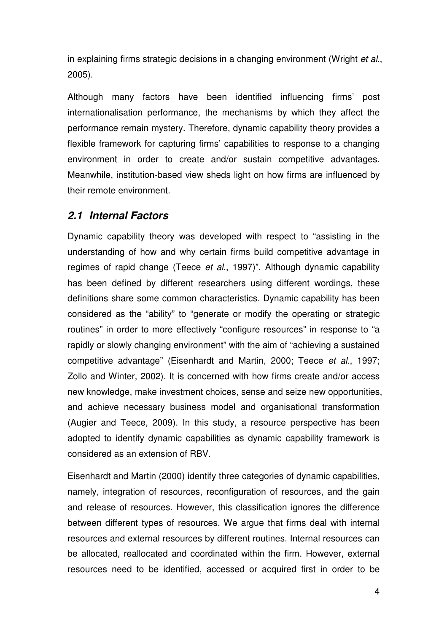in explaining firms strategic decisions in a changing environment (Wright *et al.*, 2005).

Although many factors have been identified influencing firms' post internationalisation performance, the mechanisms by which they affect the performance remain mystery. Therefore, dynamic capability theory provides a flexible framework for capturing firms' capabilities to response to a changing environment in order to create and/or sustain competitive advantages. Meanwhile, institution-based view sheds light on how firms are influenced by their remote environment.

### **2.1 Internal Factors**

Dynamic capability theory was developed with respect to "assisting in the understanding of how and why certain firms build competitive advantage in regimes of rapid change (Teece et al., 1997)". Although dynamic capability has been defined by different researchers using different wordings, these definitions share some common characteristics. Dynamic capability has been considered as the "ability" to "generate or modify the operating or strategic routines" in order to more effectively "configure resources" in response to "a rapidly or slowly changing environment" with the aim of "achieving a sustained competitive advantage" (Eisenhardt and Martin, 2000; Teece et al., 1997; Zollo and Winter, 2002). It is concerned with how firms create and/or access new knowledge, make investment choices, sense and seize new opportunities, and achieve necessary business model and organisational transformation (Augier and Teece, 2009). In this study, a resource perspective has been adopted to identify dynamic capabilities as dynamic capability framework is considered as an extension of RBV.

Eisenhardt and Martin (2000) identify three categories of dynamic capabilities, namely, integration of resources, reconfiguration of resources, and the gain and release of resources. However, this classification ignores the difference between different types of resources. We argue that firms deal with internal resources and external resources by different routines. Internal resources can be allocated, reallocated and coordinated within the firm. However, external resources need to be identified, accessed or acquired first in order to be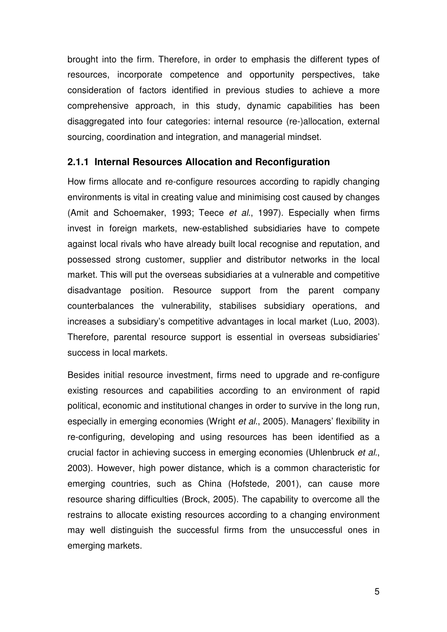brought into the firm. Therefore, in order to emphasis the different types of resources, incorporate competence and opportunity perspectives, take consideration of factors identified in previous studies to achieve a more comprehensive approach, in this study, dynamic capabilities has been disaggregated into four categories: internal resource (re-)allocation, external sourcing, coordination and integration, and managerial mindset.

### **2.1.1 Internal Resources Allocation and Reconfiguration**

How firms allocate and re-configure resources according to rapidly changing environments is vital in creating value and minimising cost caused by changes (Amit and Schoemaker, 1993; Teece et al., 1997). Especially when firms invest in foreign markets, new-established subsidiaries have to compete against local rivals who have already built local recognise and reputation, and possessed strong customer, supplier and distributor networks in the local market. This will put the overseas subsidiaries at a vulnerable and competitive disadvantage position. Resource support from the parent company counterbalances the vulnerability, stabilises subsidiary operations, and increases a subsidiary's competitive advantages in local market (Luo, 2003). Therefore, parental resource support is essential in overseas subsidiaries' success in local markets.

Besides initial resource investment, firms need to upgrade and re-configure existing resources and capabilities according to an environment of rapid political, economic and institutional changes in order to survive in the long run, especially in emerging economies (Wright et al., 2005). Managers' flexibility in re-configuring, developing and using resources has been identified as a crucial factor in achieving success in emerging economies (Uhlenbruck et al., 2003). However, high power distance, which is a common characteristic for emerging countries, such as China (Hofstede, 2001), can cause more resource sharing difficulties (Brock, 2005). The capability to overcome all the restrains to allocate existing resources according to a changing environment may well distinguish the successful firms from the unsuccessful ones in emerging markets.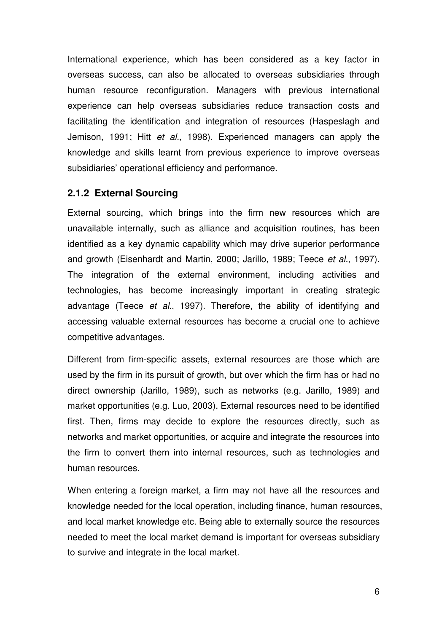International experience, which has been considered as a key factor in overseas success, can also be allocated to overseas subsidiaries through human resource reconfiguration. Managers with previous international experience can help overseas subsidiaries reduce transaction costs and facilitating the identification and integration of resources (Haspeslagh and Jemison, 1991; Hitt et al., 1998). Experienced managers can apply the knowledge and skills learnt from previous experience to improve overseas subsidiaries' operational efficiency and performance.

### **2.1.2 External Sourcing**

External sourcing, which brings into the firm new resources which are unavailable internally, such as alliance and acquisition routines, has been identified as a key dynamic capability which may drive superior performance and growth (Eisenhardt and Martin, 2000; Jarillo, 1989; Teece et al., 1997). The integration of the external environment, including activities and technologies, has become increasingly important in creating strategic advantage (Teece et al., 1997). Therefore, the ability of identifying and accessing valuable external resources has become a crucial one to achieve competitive advantages.

Different from firm-specific assets, external resources are those which are used by the firm in its pursuit of growth, but over which the firm has or had no direct ownership (Jarillo, 1989), such as networks (e.g. Jarillo, 1989) and market opportunities (e.g. Luo, 2003). External resources need to be identified first. Then, firms may decide to explore the resources directly, such as networks and market opportunities, or acquire and integrate the resources into the firm to convert them into internal resources, such as technologies and human resources.

When entering a foreign market, a firm may not have all the resources and knowledge needed for the local operation, including finance, human resources, and local market knowledge etc. Being able to externally source the resources needed to meet the local market demand is important for overseas subsidiary to survive and integrate in the local market.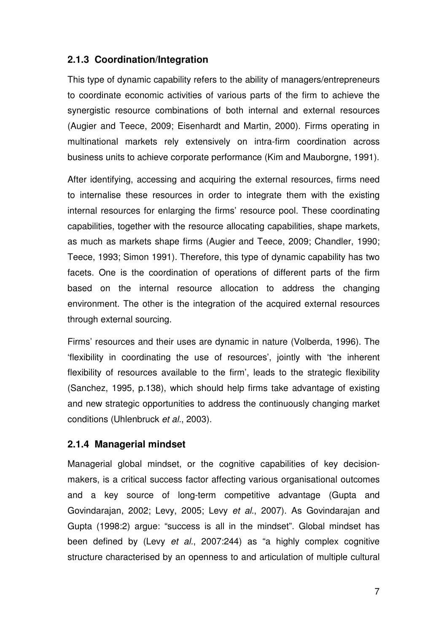### **2.1.3 Coordination/Integration**

This type of dynamic capability refers to the ability of managers/entrepreneurs to coordinate economic activities of various parts of the firm to achieve the synergistic resource combinations of both internal and external resources (Augier and Teece, 2009; Eisenhardt and Martin, 2000). Firms operating in multinational markets rely extensively on intra-firm coordination across business units to achieve corporate performance (Kim and Mauborgne, 1991).

After identifying, accessing and acquiring the external resources, firms need to internalise these resources in order to integrate them with the existing internal resources for enlarging the firms' resource pool. These coordinating capabilities, together with the resource allocating capabilities, shape markets, as much as markets shape firms (Augier and Teece, 2009; Chandler, 1990; Teece, 1993; Simon 1991). Therefore, this type of dynamic capability has two facets. One is the coordination of operations of different parts of the firm based on the internal resource allocation to address the changing environment. The other is the integration of the acquired external resources through external sourcing.

Firms' resources and their uses are dynamic in nature (Volberda, 1996). The 'flexibility in coordinating the use of resources', jointly with 'the inherent flexibility of resources available to the firm', leads to the strategic flexibility (Sanchez, 1995, p.138), which should help firms take advantage of existing and new strategic opportunities to address the continuously changing market conditions (Uhlenbruck et al., 2003).

### **2.1.4 Managerial mindset**

Managerial global mindset, or the cognitive capabilities of key decisionmakers, is a critical success factor affecting various organisational outcomes and a key source of long-term competitive advantage (Gupta and Govindarajan, 2002; Levy, 2005; Levy et al., 2007). As Govindarajan and Gupta (1998:2) argue: "success is all in the mindset". Global mindset has been defined by (Levy et al., 2007:244) as "a highly complex cognitive structure characterised by an openness to and articulation of multiple cultural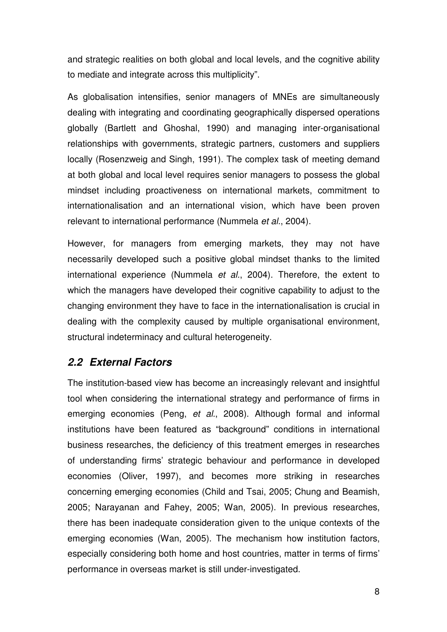and strategic realities on both global and local levels, and the cognitive ability to mediate and integrate across this multiplicity".

As globalisation intensifies, senior managers of MNEs are simultaneously dealing with integrating and coordinating geographically dispersed operations globally (Bartlett and Ghoshal, 1990) and managing inter-organisational relationships with governments, strategic partners, customers and suppliers locally (Rosenzweig and Singh, 1991). The complex task of meeting demand at both global and local level requires senior managers to possess the global mindset including proactiveness on international markets, commitment to internationalisation and an international vision, which have been proven relevant to international performance (Nummela et al., 2004).

However, for managers from emerging markets, they may not have necessarily developed such a positive global mindset thanks to the limited international experience (Nummela et al., 2004). Therefore, the extent to which the managers have developed their cognitive capability to adjust to the changing environment they have to face in the internationalisation is crucial in dealing with the complexity caused by multiple organisational environment, structural indeterminacy and cultural heterogeneity.

### **2.2 External Factors**

The institution-based view has become an increasingly relevant and insightful tool when considering the international strategy and performance of firms in emerging economies (Peng, et al., 2008). Although formal and informal institutions have been featured as "background" conditions in international business researches, the deficiency of this treatment emerges in researches of understanding firms' strategic behaviour and performance in developed economies (Oliver, 1997), and becomes more striking in researches concerning emerging economies (Child and Tsai, 2005; Chung and Beamish, 2005; Narayanan and Fahey, 2005; Wan, 2005). In previous researches, there has been inadequate consideration given to the unique contexts of the emerging economies (Wan, 2005). The mechanism how institution factors, especially considering both home and host countries, matter in terms of firms' performance in overseas market is still under-investigated.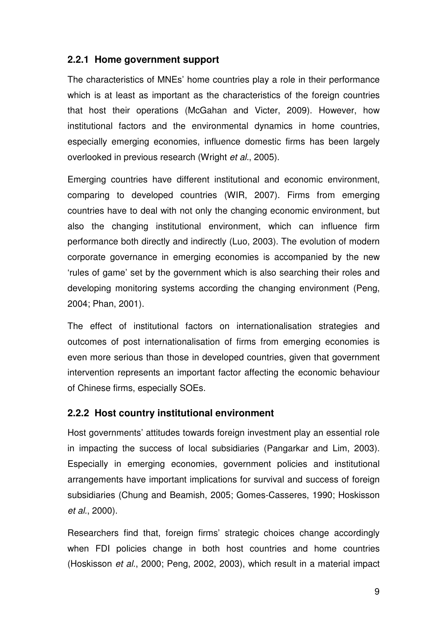### **2.2.1 Home government support**

The characteristics of MNEs' home countries play a role in their performance which is at least as important as the characteristics of the foreign countries that host their operations (McGahan and Victer, 2009). However, how institutional factors and the environmental dynamics in home countries, especially emerging economies, influence domestic firms has been largely overlooked in previous research (Wright et al., 2005).

Emerging countries have different institutional and economic environment, comparing to developed countries (WIR, 2007). Firms from emerging countries have to deal with not only the changing economic environment, but also the changing institutional environment, which can influence firm performance both directly and indirectly (Luo, 2003). The evolution of modern corporate governance in emerging economies is accompanied by the new 'rules of game' set by the government which is also searching their roles and developing monitoring systems according the changing environment (Peng, 2004; Phan, 2001).

The effect of institutional factors on internationalisation strategies and outcomes of post internationalisation of firms from emerging economies is even more serious than those in developed countries, given that government intervention represents an important factor affecting the economic behaviour of Chinese firms, especially SOEs.

### **2.2.2 Host country institutional environment**

Host governments' attitudes towards foreign investment play an essential role in impacting the success of local subsidiaries (Pangarkar and Lim, 2003). Especially in emerging economies, government policies and institutional arrangements have important implications for survival and success of foreign subsidiaries (Chung and Beamish, 2005; Gomes-Casseres, 1990; Hoskisson et al., 2000).

Researchers find that, foreign firms' strategic choices change accordingly when FDI policies change in both host countries and home countries (Hoskisson et al., 2000; Peng, 2002, 2003), which result in a material impact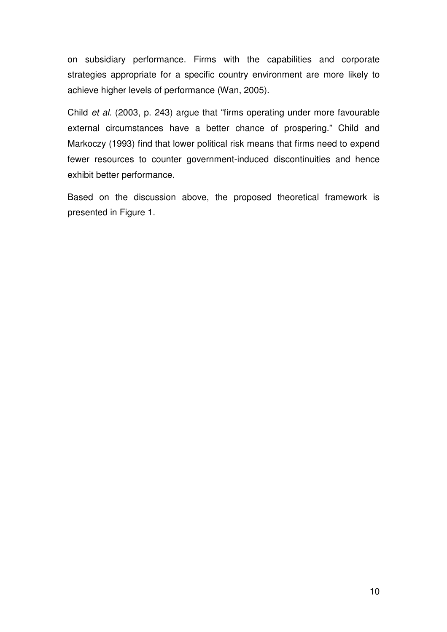on subsidiary performance. Firms with the capabilities and corporate strategies appropriate for a specific country environment are more likely to achieve higher levels of performance (Wan, 2005).

Child et al. (2003, p. 243) argue that "firms operating under more favourable external circumstances have a better chance of prospering." Child and Markoczy (1993) find that lower political risk means that firms need to expend fewer resources to counter government-induced discontinuities and hence exhibit better performance.

Based on the discussion above, the proposed theoretical framework is presented in Figure 1.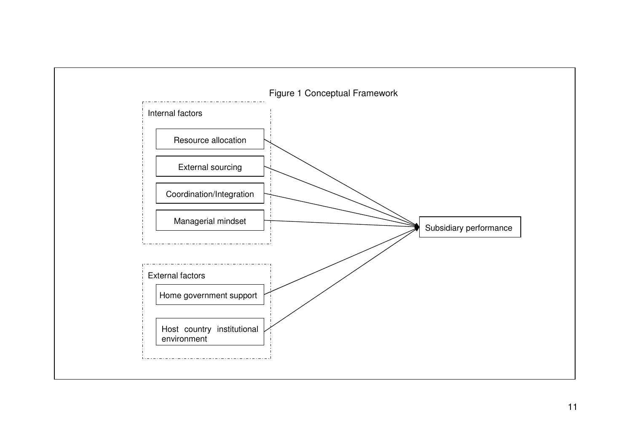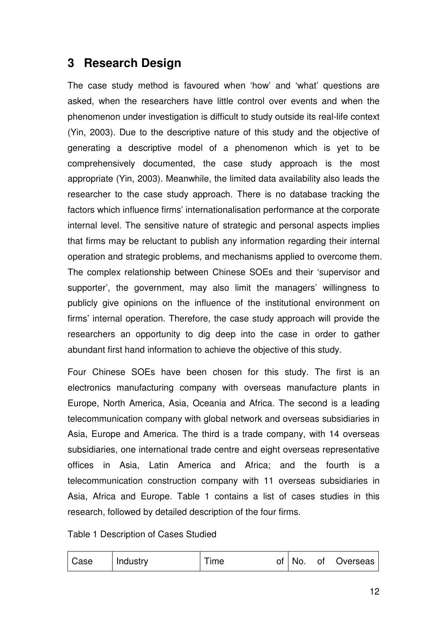# **3 Research Design**

The case study method is favoured when 'how' and 'what' questions are asked, when the researchers have little control over events and when the phenomenon under investigation is difficult to study outside its real-life context (Yin, 2003). Due to the descriptive nature of this study and the objective of generating a descriptive model of a phenomenon which is yet to be comprehensively documented, the case study approach is the most appropriate (Yin, 2003). Meanwhile, the limited data availability also leads the researcher to the case study approach. There is no database tracking the factors which influence firms' internationalisation performance at the corporate internal level. The sensitive nature of strategic and personal aspects implies that firms may be reluctant to publish any information regarding their internal operation and strategic problems, and mechanisms applied to overcome them. The complex relationship between Chinese SOEs and their 'supervisor and supporter', the government, may also limit the managers' willingness to publicly give opinions on the influence of the institutional environment on firms' internal operation. Therefore, the case study approach will provide the researchers an opportunity to dig deep into the case in order to gather abundant first hand information to achieve the objective of this study.

Four Chinese SOEs have been chosen for this study. The first is an electronics manufacturing company with overseas manufacture plants in Europe, North America, Asia, Oceania and Africa. The second is a leading telecommunication company with global network and overseas subsidiaries in Asia, Europe and America. The third is a trade company, with 14 overseas subsidiaries, one international trade centre and eight overseas representative offices in Asia, Latin America and Africa; and the fourth is a telecommunication construction company with 11 overseas subsidiaries in Asia, Africa and Europe. Table 1 contains a list of cases studies in this research, followed by detailed description of the four firms.

Table 1 Description of Cases Studied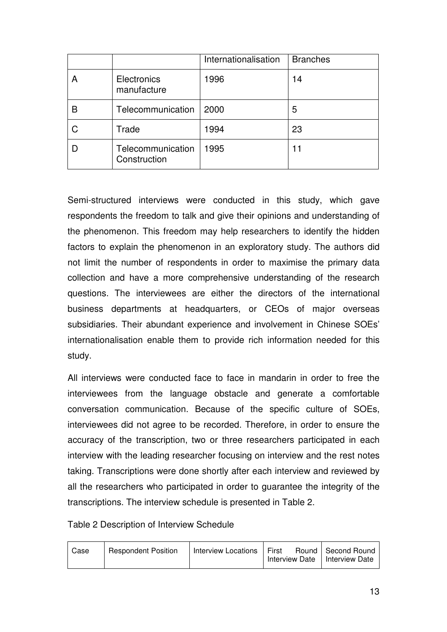|                                   | Internationalisation | <b>Branches</b> |
|-----------------------------------|----------------------|-----------------|
| Electronics<br>manufacture        | 1996                 | 14              |
| Telecommunication                 | 2000                 | 5               |
| Trade                             | 1994                 | 23              |
| Telecommunication<br>Construction | 1995                 | 11              |

Semi-structured interviews were conducted in this study, which gave respondents the freedom to talk and give their opinions and understanding of the phenomenon. This freedom may help researchers to identify the hidden factors to explain the phenomenon in an exploratory study. The authors did not limit the number of respondents in order to maximise the primary data collection and have a more comprehensive understanding of the research questions. The interviewees are either the directors of the international business departments at headquarters, or CEOs of major overseas subsidiaries. Their abundant experience and involvement in Chinese SOEs' internationalisation enable them to provide rich information needed for this study.

All interviews were conducted face to face in mandarin in order to free the interviewees from the language obstacle and generate a comfortable conversation communication. Because of the specific culture of SOEs, interviewees did not agree to be recorded. Therefore, in order to ensure the accuracy of the transcription, two or three researchers participated in each interview with the leading researcher focusing on interview and the rest notes taking. Transcriptions were done shortly after each interview and reviewed by all the researchers who participated in order to guarantee the integrity of the transcriptions. The interview schedule is presented in Table 2.

Table 2 Description of Interview Schedule

| Case | <b>Respondent Position</b> | Interview Locations   First | Interview Date   Interview Date | Round   Second Round |
|------|----------------------------|-----------------------------|---------------------------------|----------------------|
|------|----------------------------|-----------------------------|---------------------------------|----------------------|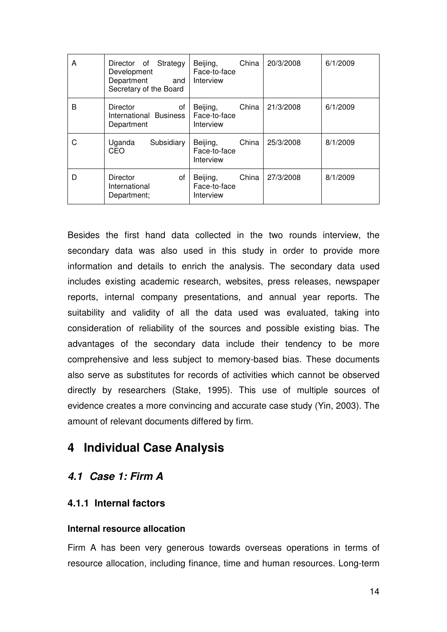| A | Director of Strategy<br>Development<br>Department<br>and<br>Secretary of the Board | China<br>Beijing,<br>Face-to-face<br>Interview | 20/3/2008 | 6/1/2009 |
|---|------------------------------------------------------------------------------------|------------------------------------------------|-----------|----------|
| B | <b>Director</b><br>of<br>International Business<br>Department                      | China<br>Beijing,<br>Face-to-face<br>Interview | 21/3/2008 | 6/1/2009 |
|   | Uganda<br>Subsidiary<br>CEO                                                        | Beijing,<br>China<br>Face-to-face<br>Interview | 25/3/2008 | 8/1/2009 |
| D | of<br>Director<br>International<br>Department;                                     | China<br>Beijing,<br>Face-to-face<br>Interview | 27/3/2008 | 8/1/2009 |

Besides the first hand data collected in the two rounds interview, the secondary data was also used in this study in order to provide more information and details to enrich the analysis. The secondary data used includes existing academic research, websites, press releases, newspaper reports, internal company presentations, and annual year reports. The suitability and validity of all the data used was evaluated, taking into consideration of reliability of the sources and possible existing bias. The advantages of the secondary data include their tendency to be more comprehensive and less subject to memory-based bias. These documents also serve as substitutes for records of activities which cannot be observed directly by researchers (Stake, 1995). This use of multiple sources of evidence creates a more convincing and accurate case study (Yin, 2003). The amount of relevant documents differed by firm.

# **4 Individual Case Analysis**

### **4.1 Case 1: Firm A**

### **4.1.1 Internal factors**

### **Internal resource allocation**

Firm A has been very generous towards overseas operations in terms of resource allocation, including finance, time and human resources. Long-term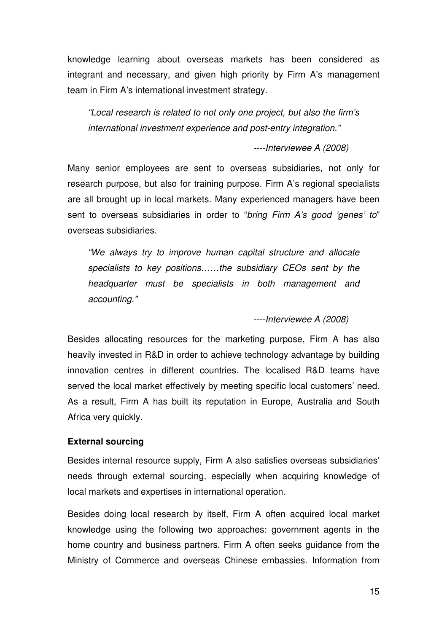knowledge learning about overseas markets has been considered as integrant and necessary, and given high priority by Firm A's management team in Firm A's international investment strategy.

"Local research is related to not only one project, but also the firm's international investment experience and post-entry integration."

----Interviewee A (2008)

Many senior employees are sent to overseas subsidiaries, not only for research purpose, but also for training purpose. Firm A's regional specialists are all brought up in local markets. Many experienced managers have been sent to overseas subsidiaries in order to "bring Firm A's good 'genes' to" overseas subsidiaries.

"We always try to improve human capital structure and allocate specialists to key positions……the subsidiary CEOs sent by the headquarter must be specialists in both management and accounting."

----Interviewee A (2008)

Besides allocating resources for the marketing purpose, Firm A has also heavily invested in R&D in order to achieve technology advantage by building innovation centres in different countries. The localised R&D teams have served the local market effectively by meeting specific local customers' need. As a result, Firm A has built its reputation in Europe, Australia and South Africa very quickly.

#### **External sourcing**

Besides internal resource supply, Firm A also satisfies overseas subsidiaries' needs through external sourcing, especially when acquiring knowledge of local markets and expertises in international operation.

Besides doing local research by itself, Firm A often acquired local market knowledge using the following two approaches: government agents in the home country and business partners. Firm A often seeks guidance from the Ministry of Commerce and overseas Chinese embassies. Information from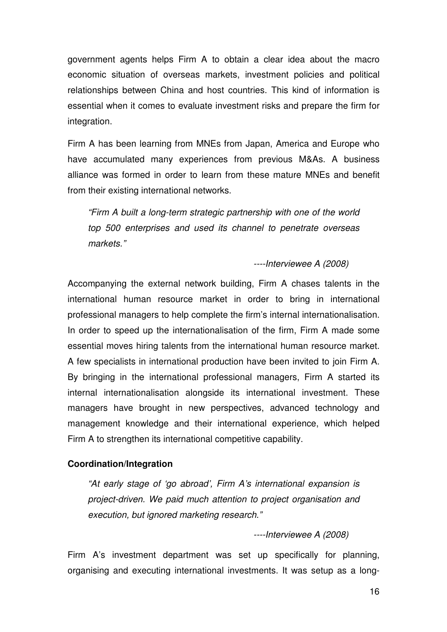government agents helps Firm A to obtain a clear idea about the macro economic situation of overseas markets, investment policies and political relationships between China and host countries. This kind of information is essential when it comes to evaluate investment risks and prepare the firm for integration.

Firm A has been learning from MNEs from Japan, America and Europe who have accumulated many experiences from previous M&As. A business alliance was formed in order to learn from these mature MNEs and benefit from their existing international networks.

"Firm A built a long-term strategic partnership with one of the world top 500 enterprises and used its channel to penetrate overseas markets."

----Interviewee A (2008)

Accompanying the external network building, Firm A chases talents in the international human resource market in order to bring in international professional managers to help complete the firm's internal internationalisation. In order to speed up the internationalisation of the firm, Firm A made some essential moves hiring talents from the international human resource market. A few specialists in international production have been invited to join Firm A. By bringing in the international professional managers, Firm A started its internal internationalisation alongside its international investment. These managers have brought in new perspectives, advanced technology and management knowledge and their international experience, which helped Firm A to strengthen its international competitive capability.

### **Coordination/Integration**

"At early stage of 'go abroad', Firm A's international expansion is project-driven. We paid much attention to project organisation and execution, but ignored marketing research."

----Interviewee A (2008)

Firm A's investment department was set up specifically for planning, organising and executing international investments. It was setup as a long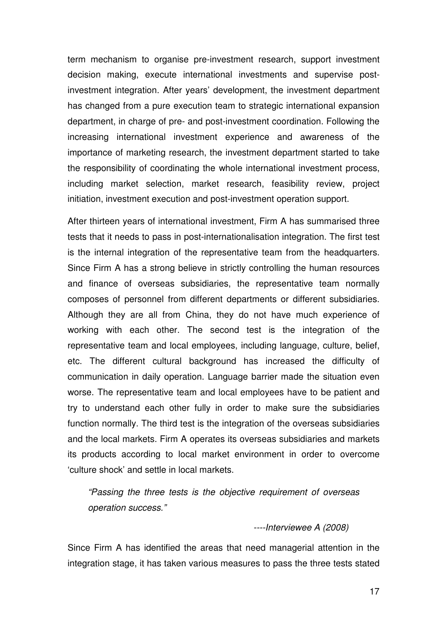term mechanism to organise pre-investment research, support investment decision making, execute international investments and supervise postinvestment integration. After years' development, the investment department has changed from a pure execution team to strategic international expansion department, in charge of pre- and post-investment coordination. Following the increasing international investment experience and awareness of the importance of marketing research, the investment department started to take the responsibility of coordinating the whole international investment process, including market selection, market research, feasibility review, project initiation, investment execution and post-investment operation support.

After thirteen years of international investment, Firm A has summarised three tests that it needs to pass in post-internationalisation integration. The first test is the internal integration of the representative team from the headquarters. Since Firm A has a strong believe in strictly controlling the human resources and finance of overseas subsidiaries, the representative team normally composes of personnel from different departments or different subsidiaries. Although they are all from China, they do not have much experience of working with each other. The second test is the integration of the representative team and local employees, including language, culture, belief, etc. The different cultural background has increased the difficulty of communication in daily operation. Language barrier made the situation even worse. The representative team and local employees have to be patient and try to understand each other fully in order to make sure the subsidiaries function normally. The third test is the integration of the overseas subsidiaries and the local markets. Firm A operates its overseas subsidiaries and markets its products according to local market environment in order to overcome 'culture shock' and settle in local markets.

"Passing the three tests is the objective requirement of overseas operation success."

#### ----Interviewee A (2008)

Since Firm A has identified the areas that need managerial attention in the integration stage, it has taken various measures to pass the three tests stated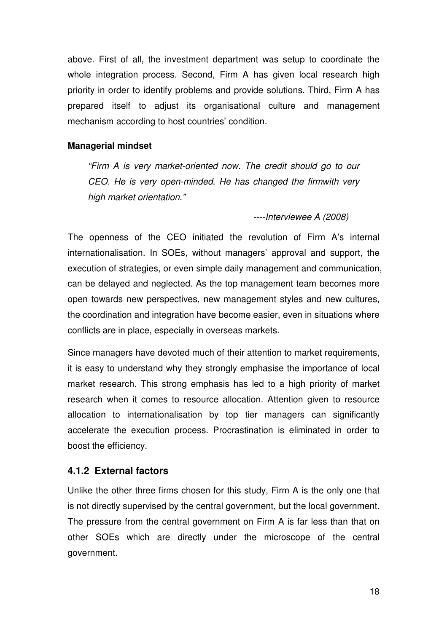above. First of all, the investment department was setup to coordinate the whole integration process. Second, Firm A has given local research high priority in order to identify problems and provide solutions. Third, Firm A has prepared itself to adjust its organisational culture and management mechanism according to host countries' condition.

#### **Managerial mindset**

"Firm A is very market-oriented now. The credit should go to our CEO. He is very open-minded. He has changed the firmwith very high market orientation."

----Interviewee A (2008)

The openness of the CEO initiated the revolution of Firm A's internal internationalisation. In SOEs, without managers' approval and support, the execution of strategies, or even simple daily management and communication, can be delayed and neglected. As the top management team becomes more open towards new perspectives, new management styles and new cultures, the coordination and integration have become easier, even in situations where conflicts are in place, especially in overseas markets.

Since managers have devoted much of their attention to market requirements, it is easy to understand why they strongly emphasise the importance of local market research. This strong emphasis has led to a high priority of market research when it comes to resource allocation. Attention given to resource allocation to internationalisation by top tier managers can significantly accelerate the execution process. Procrastination is eliminated in order to boost the efficiency.

### **4.1.2 External factors**

Unlike the other three firms chosen for this study, Firm A is the only one that is not directly supervised by the central government, but the local government. The pressure from the central government on Firm A is far less than that on other SOEs which are directly under the microscope of the central government.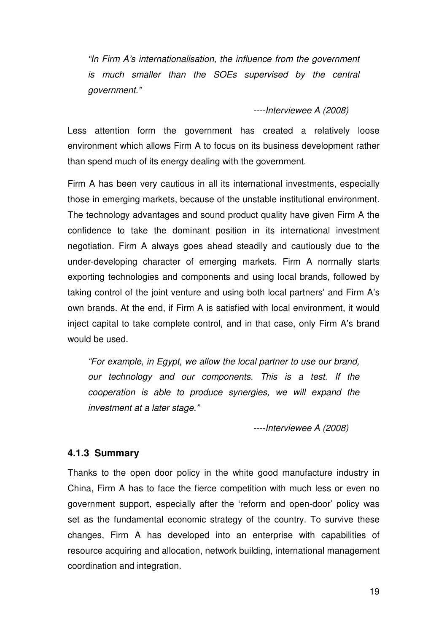"In Firm A's internationalisation, the influence from the government is much smaller than the SOEs supervised by the central government."

----Interviewee A (2008)

Less attention form the government has created a relatively loose environment which allows Firm A to focus on its business development rather than spend much of its energy dealing with the government.

Firm A has been very cautious in all its international investments, especially those in emerging markets, because of the unstable institutional environment. The technology advantages and sound product quality have given Firm A the confidence to take the dominant position in its international investment negotiation. Firm A always goes ahead steadily and cautiously due to the under-developing character of emerging markets. Firm A normally starts exporting technologies and components and using local brands, followed by taking control of the joint venture and using both local partners' and Firm A's own brands. At the end, if Firm A is satisfied with local environment, it would inject capital to take complete control, and in that case, only Firm A's brand would be used.

"For example, in Egypt, we allow the local partner to use our brand, our technology and our components. This is a test. If the cooperation is able to produce synergies, we will expand the investment at a later stage."

----Interviewee A (2008)

#### **4.1.3 Summary**

Thanks to the open door policy in the white good manufacture industry in China, Firm A has to face the fierce competition with much less or even no government support, especially after the 'reform and open-door' policy was set as the fundamental economic strategy of the country. To survive these changes, Firm A has developed into an enterprise with capabilities of resource acquiring and allocation, network building, international management coordination and integration.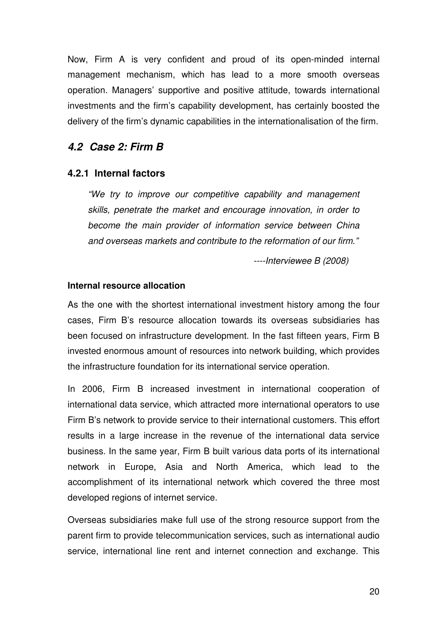Now, Firm A is very confident and proud of its open-minded internal management mechanism, which has lead to a more smooth overseas operation. Managers' supportive and positive attitude, towards international investments and the firm's capability development, has certainly boosted the delivery of the firm's dynamic capabilities in the internationalisation of the firm.

### **4.2 Case 2: Firm B**

### **4.2.1 Internal factors**

"We try to improve our competitive capability and management skills, penetrate the market and encourage innovation, in order to become the main provider of information service between China and overseas markets and contribute to the reformation of our firm."

----Interviewee B (2008)

#### **Internal resource allocation**

As the one with the shortest international investment history among the four cases, Firm B's resource allocation towards its overseas subsidiaries has been focused on infrastructure development. In the fast fifteen years, Firm B invested enormous amount of resources into network building, which provides the infrastructure foundation for its international service operation.

In 2006, Firm B increased investment in international cooperation of international data service, which attracted more international operators to use Firm B's network to provide service to their international customers. This effort results in a large increase in the revenue of the international data service business. In the same year, Firm B built various data ports of its international network in Europe, Asia and North America, which lead to the accomplishment of its international network which covered the three most developed regions of internet service.

Overseas subsidiaries make full use of the strong resource support from the parent firm to provide telecommunication services, such as international audio service, international line rent and internet connection and exchange. This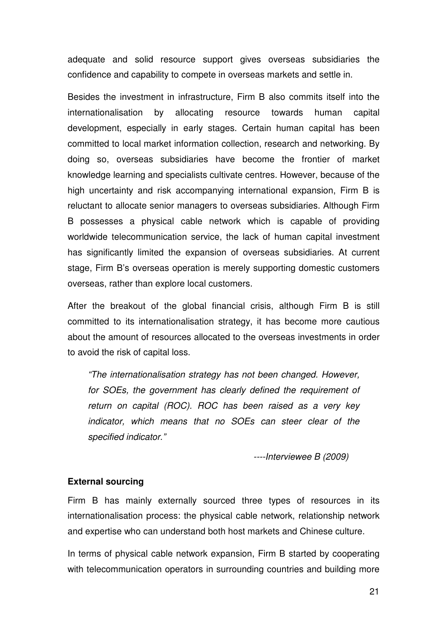adequate and solid resource support gives overseas subsidiaries the confidence and capability to compete in overseas markets and settle in.

Besides the investment in infrastructure, Firm B also commits itself into the internationalisation by allocating resource towards human capital development, especially in early stages. Certain human capital has been committed to local market information collection, research and networking. By doing so, overseas subsidiaries have become the frontier of market knowledge learning and specialists cultivate centres. However, because of the high uncertainty and risk accompanying international expansion, Firm B is reluctant to allocate senior managers to overseas subsidiaries. Although Firm B possesses a physical cable network which is capable of providing worldwide telecommunication service, the lack of human capital investment has significantly limited the expansion of overseas subsidiaries. At current stage, Firm B's overseas operation is merely supporting domestic customers overseas, rather than explore local customers.

After the breakout of the global financial crisis, although Firm B is still committed to its internationalisation strategy, it has become more cautious about the amount of resources allocated to the overseas investments in order to avoid the risk of capital loss.

"The internationalisation strategy has not been changed. However, for SOEs, the government has clearly defined the requirement of return on capital (ROC). ROC has been raised as a very key indicator, which means that no SOEs can steer clear of the specified indicator."

----Interviewee B (2009)

### **External sourcing**

Firm B has mainly externally sourced three types of resources in its internationalisation process: the physical cable network, relationship network and expertise who can understand both host markets and Chinese culture.

In terms of physical cable network expansion, Firm B started by cooperating with telecommunication operators in surrounding countries and building more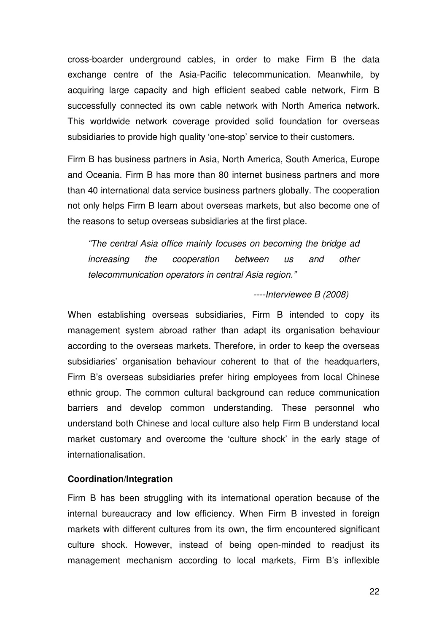cross-boarder underground cables, in order to make Firm B the data exchange centre of the Asia-Pacific telecommunication. Meanwhile, by acquiring large capacity and high efficient seabed cable network, Firm B successfully connected its own cable network with North America network. This worldwide network coverage provided solid foundation for overseas subsidiaries to provide high quality 'one-stop' service to their customers.

Firm B has business partners in Asia, North America, South America, Europe and Oceania. Firm B has more than 80 internet business partners and more than 40 international data service business partners globally. The cooperation not only helps Firm B learn about overseas markets, but also become one of the reasons to setup overseas subsidiaries at the first place.

"The central Asia office mainly focuses on becoming the bridge ad increasing the cooperation between us and other telecommunication operators in central Asia region."

#### ----Interviewee B (2008)

When establishing overseas subsidiaries, Firm B intended to copy its management system abroad rather than adapt its organisation behaviour according to the overseas markets. Therefore, in order to keep the overseas subsidiaries' organisation behaviour coherent to that of the headquarters, Firm B's overseas subsidiaries prefer hiring employees from local Chinese ethnic group. The common cultural background can reduce communication barriers and develop common understanding. These personnel who understand both Chinese and local culture also help Firm B understand local market customary and overcome the 'culture shock' in the early stage of internationalisation.

#### **Coordination/Integration**

Firm B has been struggling with its international operation because of the internal bureaucracy and low efficiency. When Firm B invested in foreign markets with different cultures from its own, the firm encountered significant culture shock. However, instead of being open-minded to readjust its management mechanism according to local markets, Firm B's inflexible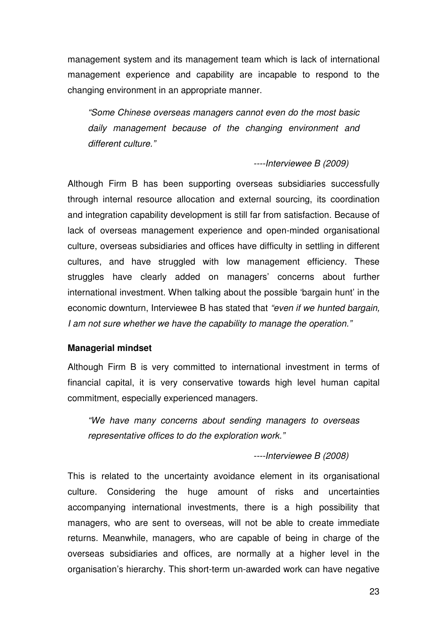management system and its management team which is lack of international management experience and capability are incapable to respond to the changing environment in an appropriate manner.

"Some Chinese overseas managers cannot even do the most basic daily management because of the changing environment and different culture."

----Interviewee B (2009)

Although Firm B has been supporting overseas subsidiaries successfully through internal resource allocation and external sourcing, its coordination and integration capability development is still far from satisfaction. Because of lack of overseas management experience and open-minded organisational culture, overseas subsidiaries and offices have difficulty in settling in different cultures, and have struggled with low management efficiency. These struggles have clearly added on managers' concerns about further international investment. When talking about the possible 'bargain hunt' in the economic downturn, Interviewee B has stated that "even if we hunted bargain, I am not sure whether we have the capability to manage the operation."

#### **Managerial mindset**

Although Firm B is very committed to international investment in terms of financial capital, it is very conservative towards high level human capital commitment, especially experienced managers.

"We have many concerns about sending managers to overseas representative offices to do the exploration work."

----Interviewee B (2008)

This is related to the uncertainty avoidance element in its organisational culture. Considering the huge amount of risks and uncertainties accompanying international investments, there is a high possibility that managers, who are sent to overseas, will not be able to create immediate returns. Meanwhile, managers, who are capable of being in charge of the overseas subsidiaries and offices, are normally at a higher level in the organisation's hierarchy. This short-term un-awarded work can have negative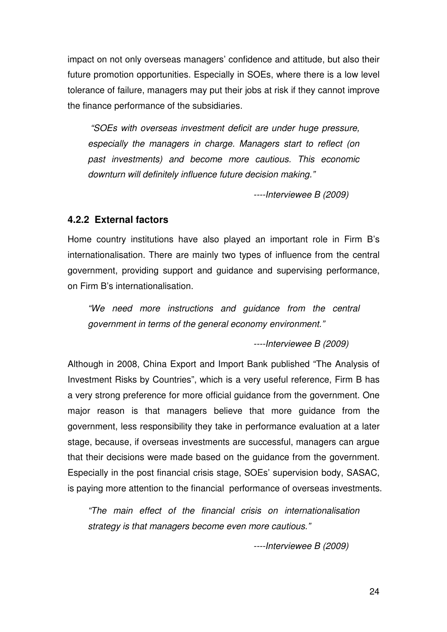impact on not only overseas managers' confidence and attitude, but also their future promotion opportunities. Especially in SOEs, where there is a low level tolerance of failure, managers may put their jobs at risk if they cannot improve the finance performance of the subsidiaries.

 "SOEs with overseas investment deficit are under huge pressure, especially the managers in charge. Managers start to reflect (on past investments) and become more cautious. This economic downturn will definitely influence future decision making."

----Interviewee B (2009)

#### **4.2.2 External factors**

Home country institutions have also played an important role in Firm B's internationalisation. There are mainly two types of influence from the central government, providing support and guidance and supervising performance, on Firm B's internationalisation.

"We need more instructions and guidance from the central government in terms of the general economy environment."

----Interviewee B (2009)

Although in 2008, China Export and Import Bank published "The Analysis of Investment Risks by Countries", which is a very useful reference, Firm B has a very strong preference for more official guidance from the government. One major reason is that managers believe that more guidance from the government, less responsibility they take in performance evaluation at a later stage, because, if overseas investments are successful, managers can argue that their decisions were made based on the guidance from the government. Especially in the post financial crisis stage, SOEs' supervision body, SASAC, is paying more attention to the financial performance of overseas investments.

"The main effect of the financial crisis on internationalisation strategy is that managers become even more cautious."

----Interviewee B (2009)

24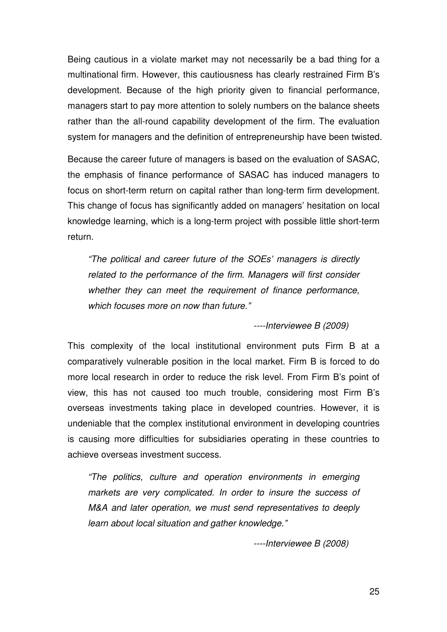Being cautious in a violate market may not necessarily be a bad thing for a multinational firm. However, this cautiousness has clearly restrained Firm B's development. Because of the high priority given to financial performance, managers start to pay more attention to solely numbers on the balance sheets rather than the all-round capability development of the firm. The evaluation system for managers and the definition of entrepreneurship have been twisted.

Because the career future of managers is based on the evaluation of SASAC, the emphasis of finance performance of SASAC has induced managers to focus on short-term return on capital rather than long-term firm development. This change of focus has significantly added on managers' hesitation on local knowledge learning, which is a long-term project with possible little short-term return.

"The political and career future of the SOEs' managers is directly related to the performance of the firm. Managers will first consider whether they can meet the requirement of finance performance, which focuses more on now than future."

----Interviewee B (2009)

This complexity of the local institutional environment puts Firm B at a comparatively vulnerable position in the local market. Firm B is forced to do more local research in order to reduce the risk level. From Firm B's point of view, this has not caused too much trouble, considering most Firm B's overseas investments taking place in developed countries. However, it is undeniable that the complex institutional environment in developing countries is causing more difficulties for subsidiaries operating in these countries to achieve overseas investment success.

"The politics, culture and operation environments in emerging markets are very complicated. In order to insure the success of M&A and later operation, we must send representatives to deeply learn about local situation and gather knowledge."

----Interviewee B (2008)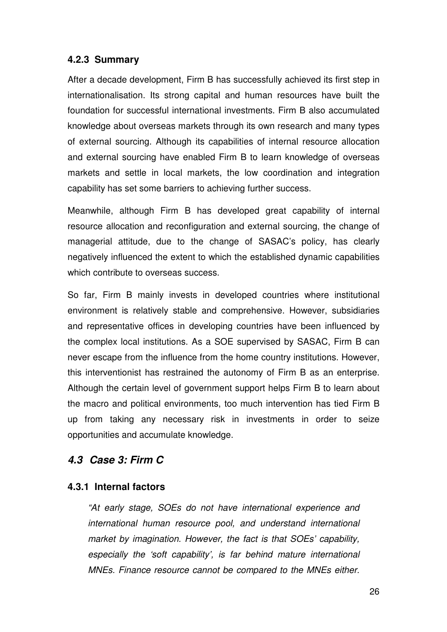### **4.2.3 Summary**

After a decade development, Firm B has successfully achieved its first step in internationalisation. Its strong capital and human resources have built the foundation for successful international investments. Firm B also accumulated knowledge about overseas markets through its own research and many types of external sourcing. Although its capabilities of internal resource allocation and external sourcing have enabled Firm B to learn knowledge of overseas markets and settle in local markets, the low coordination and integration capability has set some barriers to achieving further success.

Meanwhile, although Firm B has developed great capability of internal resource allocation and reconfiguration and external sourcing, the change of managerial attitude, due to the change of SASAC's policy, has clearly negatively influenced the extent to which the established dynamic capabilities which contribute to overseas success.

So far, Firm B mainly invests in developed countries where institutional environment is relatively stable and comprehensive. However, subsidiaries and representative offices in developing countries have been influenced by the complex local institutions. As a SOE supervised by SASAC, Firm B can never escape from the influence from the home country institutions. However, this interventionist has restrained the autonomy of Firm B as an enterprise. Although the certain level of government support helps Firm B to learn about the macro and political environments, too much intervention has tied Firm B up from taking any necessary risk in investments in order to seize opportunities and accumulate knowledge.

### **4.3 Case 3: Firm C**

### **4.3.1 Internal factors**

"At early stage, SOEs do not have international experience and international human resource pool, and understand international market by imagination. However, the fact is that SOEs' capability, especially the 'soft capability', is far behind mature international MNEs. Finance resource cannot be compared to the MNEs either.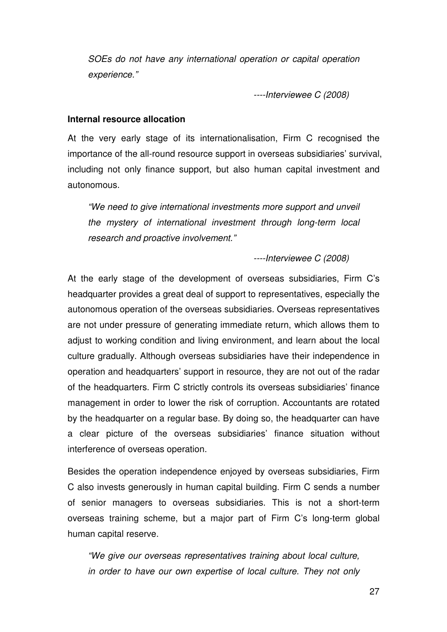SOEs do not have any international operation or capital operation experience."

----Interviewee C (2008)

#### **Internal resource allocation**

At the very early stage of its internationalisation, Firm C recognised the importance of the all-round resource support in overseas subsidiaries' survival, including not only finance support, but also human capital investment and autonomous.

"We need to give international investments more support and unveil the mystery of international investment through long-term local research and proactive involvement."

----Interviewee C (2008)

At the early stage of the development of overseas subsidiaries, Firm C's headquarter provides a great deal of support to representatives, especially the autonomous operation of the overseas subsidiaries. Overseas representatives are not under pressure of generating immediate return, which allows them to adjust to working condition and living environment, and learn about the local culture gradually. Although overseas subsidiaries have their independence in operation and headquarters' support in resource, they are not out of the radar of the headquarters. Firm C strictly controls its overseas subsidiaries' finance management in order to lower the risk of corruption. Accountants are rotated by the headquarter on a regular base. By doing so, the headquarter can have a clear picture of the overseas subsidiaries' finance situation without interference of overseas operation.

Besides the operation independence enjoyed by overseas subsidiaries, Firm C also invests generously in human capital building. Firm C sends a number of senior managers to overseas subsidiaries. This is not a short-term overseas training scheme, but a major part of Firm C's long-term global human capital reserve.

"We give our overseas representatives training about local culture, in order to have our own expertise of local culture. They not only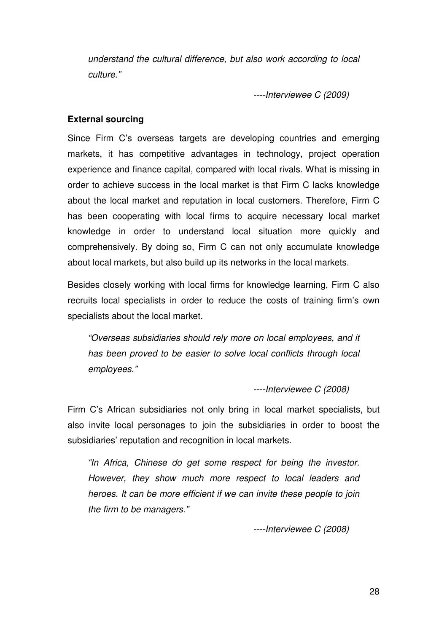understand the cultural difference, but also work according to local culture."

----Interviewee C (2009)

#### **External sourcing**

Since Firm C's overseas targets are developing countries and emerging markets, it has competitive advantages in technology, project operation experience and finance capital, compared with local rivals. What is missing in order to achieve success in the local market is that Firm C lacks knowledge about the local market and reputation in local customers. Therefore, Firm C has been cooperating with local firms to acquire necessary local market knowledge in order to understand local situation more quickly and comprehensively. By doing so, Firm C can not only accumulate knowledge about local markets, but also build up its networks in the local markets.

Besides closely working with local firms for knowledge learning, Firm C also recruits local specialists in order to reduce the costs of training firm's own specialists about the local market.

"Overseas subsidiaries should rely more on local employees, and it has been proved to be easier to solve local conflicts through local employees."

----Interviewee C (2008)

Firm C's African subsidiaries not only bring in local market specialists, but also invite local personages to join the subsidiaries in order to boost the subsidiaries' reputation and recognition in local markets.

"In Africa, Chinese do get some respect for being the investor. However, they show much more respect to local leaders and heroes. It can be more efficient if we can invite these people to join the firm to be managers."

----Interviewee C (2008)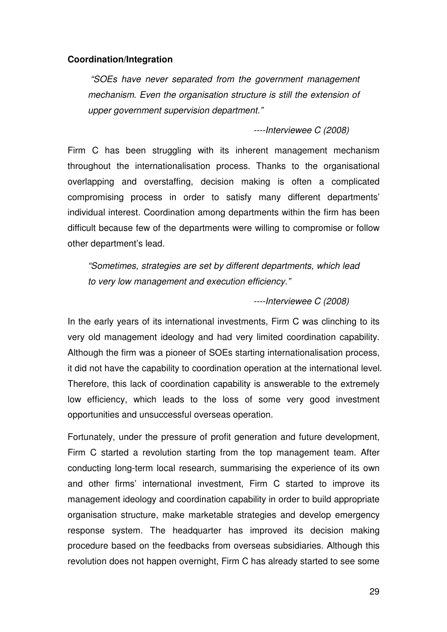#### **Coordination/Integration**

 "SOEs have never separated from the government management mechanism. Even the organisation structure is still the extension of upper government supervision department."

----Interviewee C (2008)

Firm C has been struggling with its inherent management mechanism throughout the internationalisation process. Thanks to the organisational overlapping and overstaffing, decision making is often a complicated compromising process in order to satisfy many different departments' individual interest. Coordination among departments within the firm has been difficult because few of the departments were willing to compromise or follow other department's lead.

"Sometimes, strategies are set by different departments, which lead to very low management and execution efficiency."

----Interviewee C (2008)

In the early years of its international investments, Firm C was clinching to its very old management ideology and had very limited coordination capability. Although the firm was a pioneer of SOEs starting internationalisation process, it did not have the capability to coordination operation at the international level. Therefore, this lack of coordination capability is answerable to the extremely low efficiency, which leads to the loss of some very good investment opportunities and unsuccessful overseas operation.

Fortunately, under the pressure of profit generation and future development, Firm C started a revolution starting from the top management team. After conducting long-term local research, summarising the experience of its own and other firms' international investment, Firm C started to improve its management ideology and coordination capability in order to build appropriate organisation structure, make marketable strategies and develop emergency response system. The headquarter has improved its decision making procedure based on the feedbacks from overseas subsidiaries. Although this revolution does not happen overnight, Firm C has already started to see some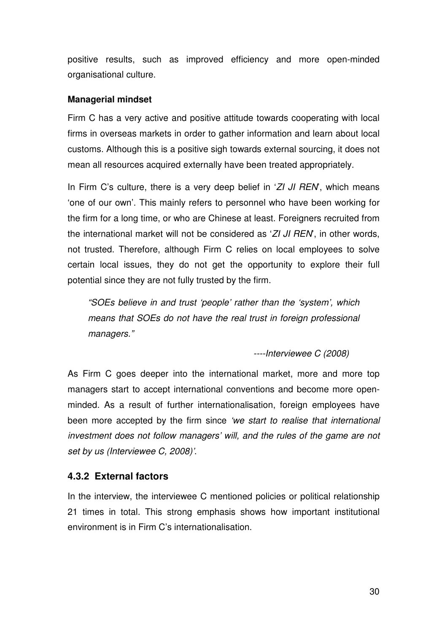positive results, such as improved efficiency and more open-minded organisational culture.

### **Managerial mindset**

Firm C has a very active and positive attitude towards cooperating with local firms in overseas markets in order to gather information and learn about local customs. Although this is a positive sigh towards external sourcing, it does not mean all resources acquired externally have been treated appropriately.

In Firm C's culture, there is a very deep belief in  $ZI$  JI REN, which means 'one of our own'. This mainly refers to personnel who have been working for the firm for a long time, or who are Chinese at least. Foreigners recruited from the international market will not be considered as 'ZI JI REN', in other words, not trusted. Therefore, although Firm C relies on local employees to solve certain local issues, they do not get the opportunity to explore their full potential since they are not fully trusted by the firm.

"SOEs believe in and trust 'people' rather than the 'system', which means that SOEs do not have the real trust in foreign professional managers."

----Interviewee C (2008)

As Firm C goes deeper into the international market, more and more top managers start to accept international conventions and become more openminded. As a result of further internationalisation, foreign employees have been more accepted by the firm since 'we start to realise that international investment does not follow managers' will, and the rules of the game are not set by us (Interviewee C, 2008)'.

### **4.3.2 External factors**

In the interview, the interviewee C mentioned policies or political relationship 21 times in total. This strong emphasis shows how important institutional environment is in Firm C's internationalisation.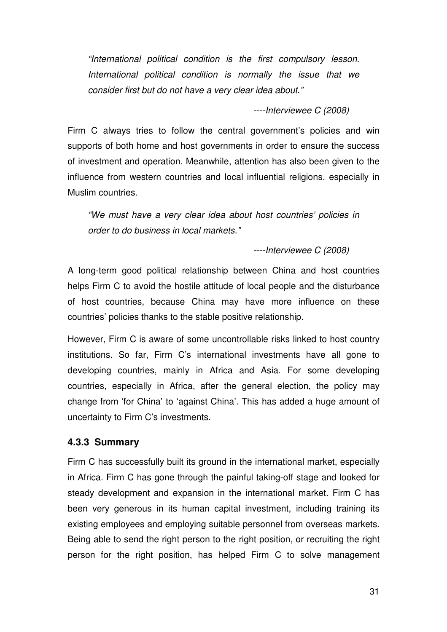"International political condition is the first compulsory lesson. International political condition is normally the issue that we consider first but do not have a very clear idea about."

----Interviewee C (2008)

Firm C always tries to follow the central government's policies and win supports of both home and host governments in order to ensure the success of investment and operation. Meanwhile, attention has also been given to the influence from western countries and local influential religions, especially in Muslim countries.

"We must have a very clear idea about host countries' policies in order to do business in local markets."

----Interviewee C (2008)

A long-term good political relationship between China and host countries helps Firm C to avoid the hostile attitude of local people and the disturbance of host countries, because China may have more influence on these countries' policies thanks to the stable positive relationship.

However, Firm C is aware of some uncontrollable risks linked to host country institutions. So far, Firm C's international investments have all gone to developing countries, mainly in Africa and Asia. For some developing countries, especially in Africa, after the general election, the policy may change from 'for China' to 'against China'. This has added a huge amount of uncertainty to Firm C's investments.

### **4.3.3 Summary**

Firm C has successfully built its ground in the international market, especially in Africa. Firm C has gone through the painful taking-off stage and looked for steady development and expansion in the international market. Firm C has been very generous in its human capital investment, including training its existing employees and employing suitable personnel from overseas markets. Being able to send the right person to the right position, or recruiting the right person for the right position, has helped Firm C to solve management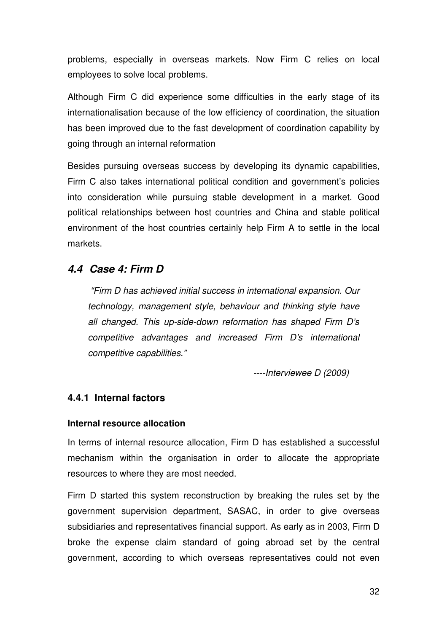problems, especially in overseas markets. Now Firm C relies on local employees to solve local problems.

Although Firm C did experience some difficulties in the early stage of its internationalisation because of the low efficiency of coordination, the situation has been improved due to the fast development of coordination capability by going through an internal reformation

Besides pursuing overseas success by developing its dynamic capabilities, Firm C also takes international political condition and government's policies into consideration while pursuing stable development in a market. Good political relationships between host countries and China and stable political environment of the host countries certainly help Firm A to settle in the local markets.

### **4.4 Case 4: Firm D**

 "Firm D has achieved initial success in international expansion. Our technology, management style, behaviour and thinking style have all changed. This up-side-down reformation has shaped Firm D's competitive advantages and increased Firm D's international competitive capabilities."

----Interviewee D (2009)

### **4.4.1 Internal factors**

#### **Internal resource allocation**

In terms of internal resource allocation, Firm D has established a successful mechanism within the organisation in order to allocate the appropriate resources to where they are most needed.

Firm D started this system reconstruction by breaking the rules set by the government supervision department, SASAC, in order to give overseas subsidiaries and representatives financial support. As early as in 2003, Firm D broke the expense claim standard of going abroad set by the central government, according to which overseas representatives could not even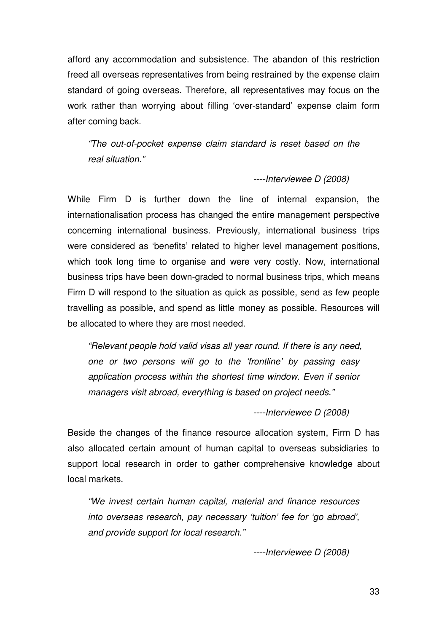afford any accommodation and subsistence. The abandon of this restriction freed all overseas representatives from being restrained by the expense claim standard of going overseas. Therefore, all representatives may focus on the work rather than worrying about filling 'over-standard' expense claim form after coming back.

"The out-of-pocket expense claim standard is reset based on the real situation."

#### ----Interviewee D (2008)

While Firm D is further down the line of internal expansion, the internationalisation process has changed the entire management perspective concerning international business. Previously, international business trips were considered as 'benefits' related to higher level management positions, which took long time to organise and were very costly. Now, international business trips have been down-graded to normal business trips, which means Firm D will respond to the situation as quick as possible, send as few people travelling as possible, and spend as little money as possible. Resources will be allocated to where they are most needed.

"Relevant people hold valid visas all year round. If there is any need, one or two persons will go to the 'frontline' by passing easy application process within the shortest time window. Even if senior managers visit abroad, everything is based on project needs."

----Interviewee D (2008)

Beside the changes of the finance resource allocation system, Firm D has also allocated certain amount of human capital to overseas subsidiaries to support local research in order to gather comprehensive knowledge about local markets.

"We invest certain human capital, material and finance resources into overseas research, pay necessary 'tuition' fee for 'go abroad', and provide support for local research."

----Interviewee D (2008)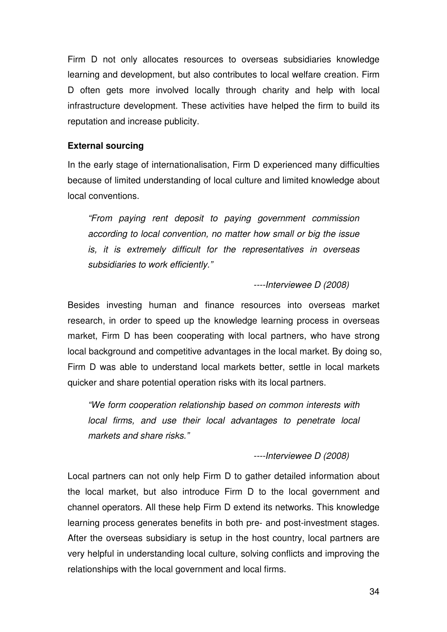Firm D not only allocates resources to overseas subsidiaries knowledge learning and development, but also contributes to local welfare creation. Firm D often gets more involved locally through charity and help with local infrastructure development. These activities have helped the firm to build its reputation and increase publicity.

### **External sourcing**

In the early stage of internationalisation, Firm D experienced many difficulties because of limited understanding of local culture and limited knowledge about local conventions.

"From paying rent deposit to paying government commission according to local convention, no matter how small or big the issue is, it is extremely difficult for the representatives in overseas subsidiaries to work efficiently."

----Interviewee D (2008)

Besides investing human and finance resources into overseas market research, in order to speed up the knowledge learning process in overseas market, Firm D has been cooperating with local partners, who have strong local background and competitive advantages in the local market. By doing so, Firm D was able to understand local markets better, settle in local markets quicker and share potential operation risks with its local partners.

"We form cooperation relationship based on common interests with local firms, and use their local advantages to penetrate local markets and share risks."

----Interviewee D (2008)

Local partners can not only help Firm D to gather detailed information about the local market, but also introduce Firm D to the local government and channel operators. All these help Firm D extend its networks. This knowledge learning process generates benefits in both pre- and post-investment stages. After the overseas subsidiary is setup in the host country, local partners are very helpful in understanding local culture, solving conflicts and improving the relationships with the local government and local firms.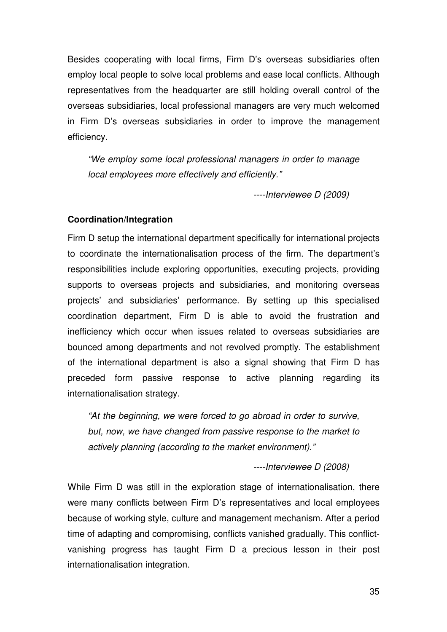Besides cooperating with local firms, Firm D's overseas subsidiaries often employ local people to solve local problems and ease local conflicts. Although representatives from the headquarter are still holding overall control of the overseas subsidiaries, local professional managers are very much welcomed in Firm D's overseas subsidiaries in order to improve the management efficiency.

"We employ some local professional managers in order to manage local employees more effectively and efficiently."

----Interviewee D (2009)

#### **Coordination/Integration**

Firm D setup the international department specifically for international projects to coordinate the internationalisation process of the firm. The department's responsibilities include exploring opportunities, executing projects, providing supports to overseas projects and subsidiaries, and monitoring overseas projects' and subsidiaries' performance. By setting up this specialised coordination department, Firm D is able to avoid the frustration and inefficiency which occur when issues related to overseas subsidiaries are bounced among departments and not revolved promptly. The establishment of the international department is also a signal showing that Firm D has preceded form passive response to active planning regarding its internationalisation strategy.

"At the beginning, we were forced to go abroad in order to survive, but, now, we have changed from passive response to the market to actively planning (according to the market environment)."

----Interviewee D (2008)

While Firm D was still in the exploration stage of internationalisation, there were many conflicts between Firm D's representatives and local employees because of working style, culture and management mechanism. After a period time of adapting and compromising, conflicts vanished gradually. This conflictvanishing progress has taught Firm D a precious lesson in their post internationalisation integration.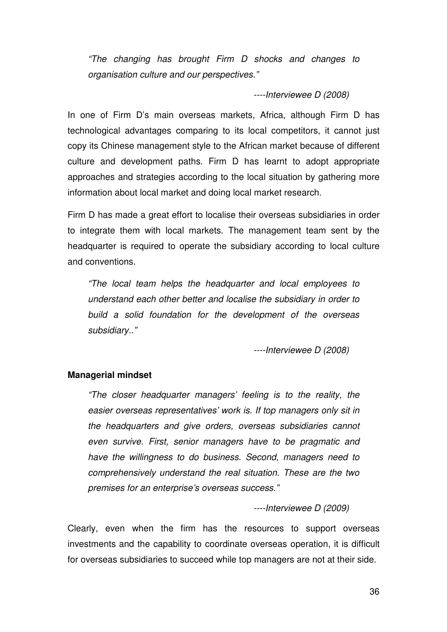"The changing has brought Firm D shocks and changes to organisation culture and our perspectives."

----Interviewee D (2008)

In one of Firm D's main overseas markets, Africa, although Firm D has technological advantages comparing to its local competitors, it cannot just copy its Chinese management style to the African market because of different culture and development paths. Firm D has learnt to adopt appropriate approaches and strategies according to the local situation by gathering more information about local market and doing local market research.

Firm D has made a great effort to localise their overseas subsidiaries in order to integrate them with local markets. The management team sent by the headquarter is required to operate the subsidiary according to local culture and conventions.

"The local team helps the headquarter and local employees to understand each other better and localise the subsidiary in order to build a solid foundation for the development of the overseas subsidiary.."

----Interviewee D (2008)

#### **Managerial mindset**

"The closer headquarter managers' feeling is to the reality, the easier overseas representatives' work is. If top managers only sit in the headquarters and give orders, overseas subsidiaries cannot even survive. First, senior managers have to be pragmatic and have the willingness to do business. Second, managers need to comprehensively understand the real situation. These are the two premises for an enterprise's overseas success."

----Interviewee D (2009)

Clearly, even when the firm has the resources to support overseas investments and the capability to coordinate overseas operation, it is difficult for overseas subsidiaries to succeed while top managers are not at their side.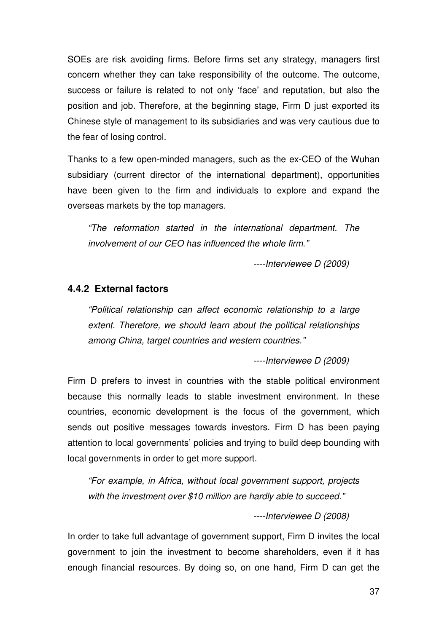SOEs are risk avoiding firms. Before firms set any strategy, managers first concern whether they can take responsibility of the outcome. The outcome, success or failure is related to not only 'face' and reputation, but also the position and job. Therefore, at the beginning stage, Firm D just exported its Chinese style of management to its subsidiaries and was very cautious due to the fear of losing control.

Thanks to a few open-minded managers, such as the ex-CEO of the Wuhan subsidiary (current director of the international department), opportunities have been given to the firm and individuals to explore and expand the overseas markets by the top managers.

"The reformation started in the international department. The involvement of our CEO has influenced the whole firm."

----Interviewee D (2009)

### **4.4.2 External factors**

"Political relationship can affect economic relationship to a large extent. Therefore, we should learn about the political relationships among China, target countries and western countries."

----Interviewee D (2009)

Firm D prefers to invest in countries with the stable political environment because this normally leads to stable investment environment. In these countries, economic development is the focus of the government, which sends out positive messages towards investors. Firm D has been paying attention to local governments' policies and trying to build deep bounding with local governments in order to get more support.

"For example, in Africa, without local government support, projects with the investment over \$10 million are hardly able to succeed."

----Interviewee D (2008)

In order to take full advantage of government support, Firm D invites the local government to join the investment to become shareholders, even if it has enough financial resources. By doing so, on one hand, Firm D can get the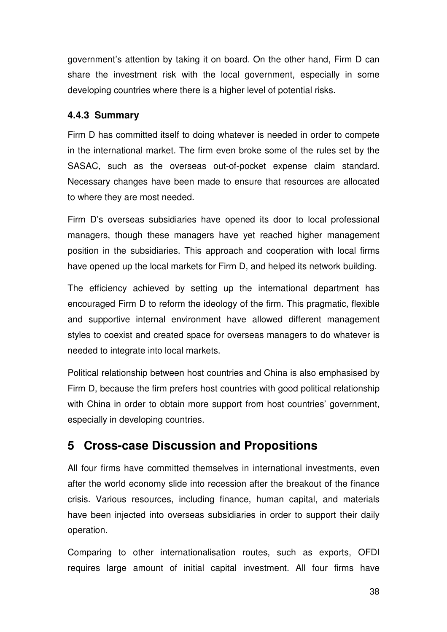government's attention by taking it on board. On the other hand, Firm D can share the investment risk with the local government, especially in some developing countries where there is a higher level of potential risks.

### **4.4.3 Summary**

Firm D has committed itself to doing whatever is needed in order to compete in the international market. The firm even broke some of the rules set by the SASAC, such as the overseas out-of-pocket expense claim standard. Necessary changes have been made to ensure that resources are allocated to where they are most needed.

Firm D's overseas subsidiaries have opened its door to local professional managers, though these managers have yet reached higher management position in the subsidiaries. This approach and cooperation with local firms have opened up the local markets for Firm D, and helped its network building.

The efficiency achieved by setting up the international department has encouraged Firm D to reform the ideology of the firm. This pragmatic, flexible and supportive internal environment have allowed different management styles to coexist and created space for overseas managers to do whatever is needed to integrate into local markets.

Political relationship between host countries and China is also emphasised by Firm D, because the firm prefers host countries with good political relationship with China in order to obtain more support from host countries' government, especially in developing countries.

# **5 Cross-case Discussion and Propositions**

All four firms have committed themselves in international investments, even after the world economy slide into recession after the breakout of the finance crisis. Various resources, including finance, human capital, and materials have been injected into overseas subsidiaries in order to support their daily operation.

Comparing to other internationalisation routes, such as exports, OFDI requires large amount of initial capital investment. All four firms have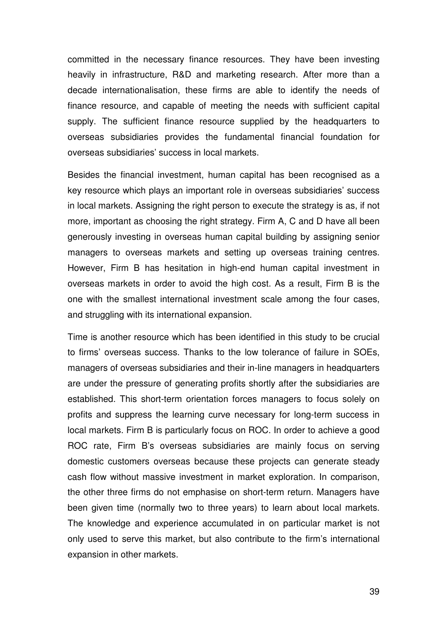committed in the necessary finance resources. They have been investing heavily in infrastructure, R&D and marketing research. After more than a decade internationalisation, these firms are able to identify the needs of finance resource, and capable of meeting the needs with sufficient capital supply. The sufficient finance resource supplied by the headquarters to overseas subsidiaries provides the fundamental financial foundation for overseas subsidiaries' success in local markets.

Besides the financial investment, human capital has been recognised as a key resource which plays an important role in overseas subsidiaries' success in local markets. Assigning the right person to execute the strategy is as, if not more, important as choosing the right strategy. Firm A, C and D have all been generously investing in overseas human capital building by assigning senior managers to overseas markets and setting up overseas training centres. However, Firm B has hesitation in high-end human capital investment in overseas markets in order to avoid the high cost. As a result, Firm B is the one with the smallest international investment scale among the four cases, and struggling with its international expansion.

Time is another resource which has been identified in this study to be crucial to firms' overseas success. Thanks to the low tolerance of failure in SOEs, managers of overseas subsidiaries and their in-line managers in headquarters are under the pressure of generating profits shortly after the subsidiaries are established. This short-term orientation forces managers to focus solely on profits and suppress the learning curve necessary for long-term success in local markets. Firm B is particularly focus on ROC. In order to achieve a good ROC rate, Firm B's overseas subsidiaries are mainly focus on serving domestic customers overseas because these projects can generate steady cash flow without massive investment in market exploration. In comparison, the other three firms do not emphasise on short-term return. Managers have been given time (normally two to three years) to learn about local markets. The knowledge and experience accumulated in on particular market is not only used to serve this market, but also contribute to the firm's international expansion in other markets.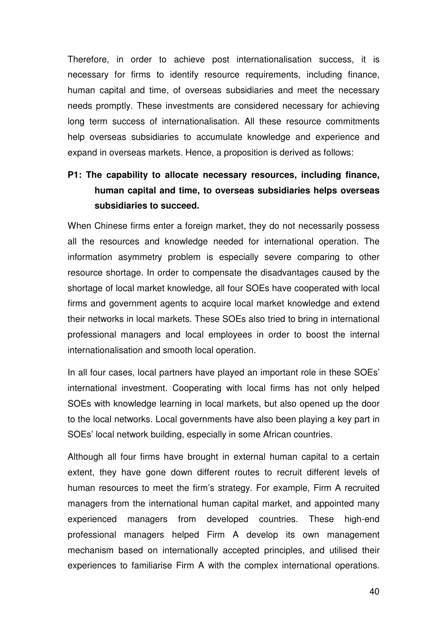Therefore, in order to achieve post internationalisation success, it is necessary for firms to identify resource requirements, including finance, human capital and time, of overseas subsidiaries and meet the necessary needs promptly. These investments are considered necessary for achieving long term success of internationalisation. All these resource commitments help overseas subsidiaries to accumulate knowledge and experience and expand in overseas markets. Hence, a proposition is derived as follows:

# **P1: The capability to allocate necessary resources, including finance, human capital and time, to overseas subsidiaries helps overseas subsidiaries to succeed.**

When Chinese firms enter a foreign market, they do not necessarily possess all the resources and knowledge needed for international operation. The information asymmetry problem is especially severe comparing to other resource shortage. In order to compensate the disadvantages caused by the shortage of local market knowledge, all four SOEs have cooperated with local firms and government agents to acquire local market knowledge and extend their networks in local markets. These SOEs also tried to bring in international professional managers and local employees in order to boost the internal internationalisation and smooth local operation.

In all four cases, local partners have played an important role in these SOEs' international investment. Cooperating with local firms has not only helped SOEs with knowledge learning in local markets, but also opened up the door to the local networks. Local governments have also been playing a key part in SOEs' local network building, especially in some African countries.

Although all four firms have brought in external human capital to a certain extent, they have gone down different routes to recruit different levels of human resources to meet the firm's strategy. For example, Firm A recruited managers from the international human capital market, and appointed many experienced managers from developed countries. These high-end professional managers helped Firm A develop its own management mechanism based on internationally accepted principles, and utilised their experiences to familiarise Firm A with the complex international operations.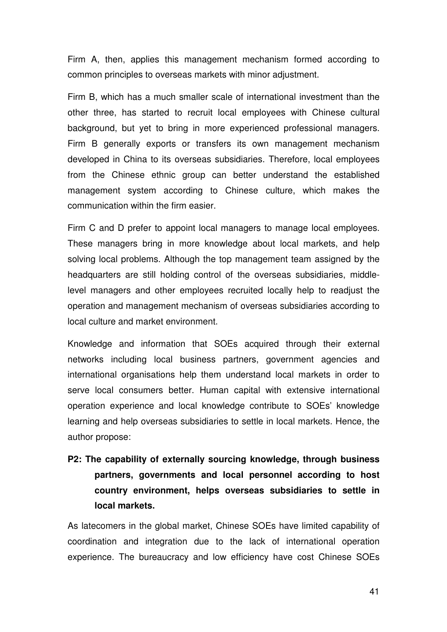Firm A, then, applies this management mechanism formed according to common principles to overseas markets with minor adjustment.

Firm B, which has a much smaller scale of international investment than the other three, has started to recruit local employees with Chinese cultural background, but yet to bring in more experienced professional managers. Firm B generally exports or transfers its own management mechanism developed in China to its overseas subsidiaries. Therefore, local employees from the Chinese ethnic group can better understand the established management system according to Chinese culture, which makes the communication within the firm easier.

Firm C and D prefer to appoint local managers to manage local employees. These managers bring in more knowledge about local markets, and help solving local problems. Although the top management team assigned by the headquarters are still holding control of the overseas subsidiaries, middlelevel managers and other employees recruited locally help to readjust the operation and management mechanism of overseas subsidiaries according to local culture and market environment.

Knowledge and information that SOEs acquired through their external networks including local business partners, government agencies and international organisations help them understand local markets in order to serve local consumers better. Human capital with extensive international operation experience and local knowledge contribute to SOEs' knowledge learning and help overseas subsidiaries to settle in local markets. Hence, the author propose:

# **P2: The capability of externally sourcing knowledge, through business partners, governments and local personnel according to host country environment, helps overseas subsidiaries to settle in local markets.**

As latecomers in the global market, Chinese SOEs have limited capability of coordination and integration due to the lack of international operation experience. The bureaucracy and low efficiency have cost Chinese SOEs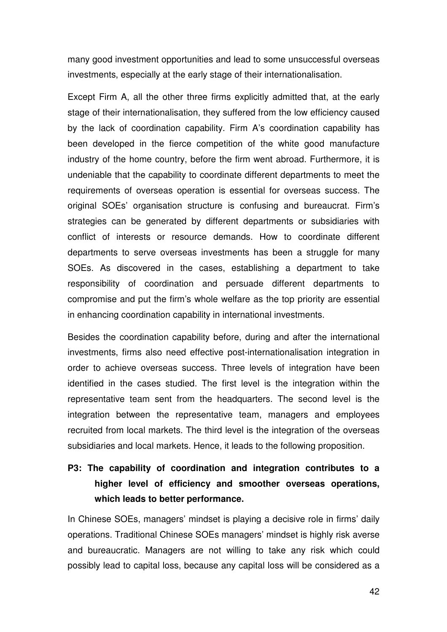many good investment opportunities and lead to some unsuccessful overseas investments, especially at the early stage of their internationalisation.

Except Firm A, all the other three firms explicitly admitted that, at the early stage of their internationalisation, they suffered from the low efficiency caused by the lack of coordination capability. Firm A's coordination capability has been developed in the fierce competition of the white good manufacture industry of the home country, before the firm went abroad. Furthermore, it is undeniable that the capability to coordinate different departments to meet the requirements of overseas operation is essential for overseas success. The original SOEs' organisation structure is confusing and bureaucrat. Firm's strategies can be generated by different departments or subsidiaries with conflict of interests or resource demands. How to coordinate different departments to serve overseas investments has been a struggle for many SOEs. As discovered in the cases, establishing a department to take responsibility of coordination and persuade different departments to compromise and put the firm's whole welfare as the top priority are essential in enhancing coordination capability in international investments.

Besides the coordination capability before, during and after the international investments, firms also need effective post-internationalisation integration in order to achieve overseas success. Three levels of integration have been identified in the cases studied. The first level is the integration within the representative team sent from the headquarters. The second level is the integration between the representative team, managers and employees recruited from local markets. The third level is the integration of the overseas subsidiaries and local markets. Hence, it leads to the following proposition.

# **P3: The capability of coordination and integration contributes to a higher level of efficiency and smoother overseas operations, which leads to better performance.**

In Chinese SOEs, managers' mindset is playing a decisive role in firms' daily operations. Traditional Chinese SOEs managers' mindset is highly risk averse and bureaucratic. Managers are not willing to take any risk which could possibly lead to capital loss, because any capital loss will be considered as a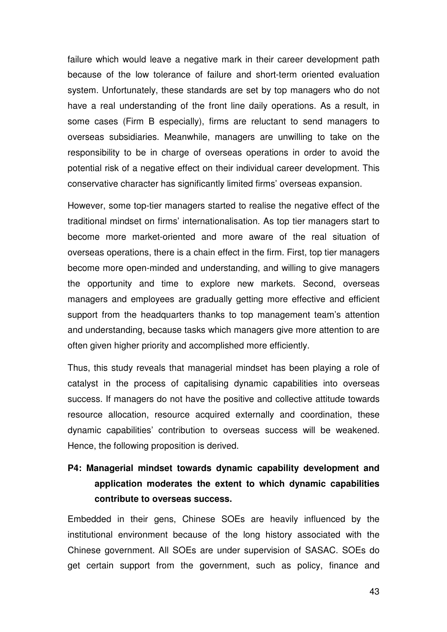failure which would leave a negative mark in their career development path because of the low tolerance of failure and short-term oriented evaluation system. Unfortunately, these standards are set by top managers who do not have a real understanding of the front line daily operations. As a result, in some cases (Firm B especially), firms are reluctant to send managers to overseas subsidiaries. Meanwhile, managers are unwilling to take on the responsibility to be in charge of overseas operations in order to avoid the potential risk of a negative effect on their individual career development. This conservative character has significantly limited firms' overseas expansion.

However, some top-tier managers started to realise the negative effect of the traditional mindset on firms' internationalisation. As top tier managers start to become more market-oriented and more aware of the real situation of overseas operations, there is a chain effect in the firm. First, top tier managers become more open-minded and understanding, and willing to give managers the opportunity and time to explore new markets. Second, overseas managers and employees are gradually getting more effective and efficient support from the headquarters thanks to top management team's attention and understanding, because tasks which managers give more attention to are often given higher priority and accomplished more efficiently.

Thus, this study reveals that managerial mindset has been playing a role of catalyst in the process of capitalising dynamic capabilities into overseas success. If managers do not have the positive and collective attitude towards resource allocation, resource acquired externally and coordination, these dynamic capabilities' contribution to overseas success will be weakened. Hence, the following proposition is derived.

# **P4: Managerial mindset towards dynamic capability development and application moderates the extent to which dynamic capabilities contribute to overseas success.**

Embedded in their gens, Chinese SOEs are heavily influenced by the institutional environment because of the long history associated with the Chinese government. All SOEs are under supervision of SASAC. SOEs do get certain support from the government, such as policy, finance and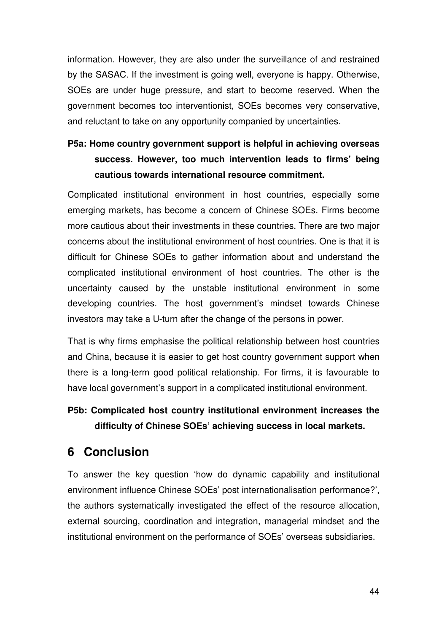information. However, they are also under the surveillance of and restrained by the SASAC. If the investment is going well, everyone is happy. Otherwise, SOEs are under huge pressure, and start to become reserved. When the government becomes too interventionist, SOEs becomes very conservative, and reluctant to take on any opportunity companied by uncertainties.

# **P5a: Home country government support is helpful in achieving overseas success. However, too much intervention leads to firms' being cautious towards international resource commitment.**

Complicated institutional environment in host countries, especially some emerging markets, has become a concern of Chinese SOEs. Firms become more cautious about their investments in these countries. There are two major concerns about the institutional environment of host countries. One is that it is difficult for Chinese SOEs to gather information about and understand the complicated institutional environment of host countries. The other is the uncertainty caused by the unstable institutional environment in some developing countries. The host government's mindset towards Chinese investors may take a U-turn after the change of the persons in power.

That is why firms emphasise the political relationship between host countries and China, because it is easier to get host country government support when there is a long-term good political relationship. For firms, it is favourable to have local government's support in a complicated institutional environment.

# **P5b: Complicated host country institutional environment increases the difficulty of Chinese SOEs' achieving success in local markets.**

# **6 Conclusion**

To answer the key question 'how do dynamic capability and institutional environment influence Chinese SOEs' post internationalisation performance?', the authors systematically investigated the effect of the resource allocation, external sourcing, coordination and integration, managerial mindset and the institutional environment on the performance of SOEs' overseas subsidiaries.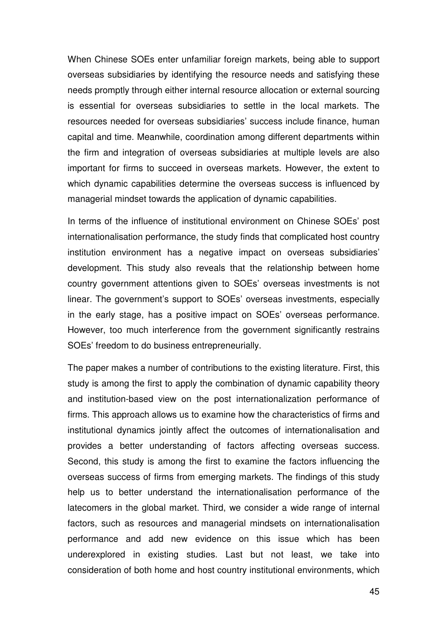When Chinese SOEs enter unfamiliar foreign markets, being able to support overseas subsidiaries by identifying the resource needs and satisfying these needs promptly through either internal resource allocation or external sourcing is essential for overseas subsidiaries to settle in the local markets. The resources needed for overseas subsidiaries' success include finance, human capital and time. Meanwhile, coordination among different departments within the firm and integration of overseas subsidiaries at multiple levels are also important for firms to succeed in overseas markets. However, the extent to which dynamic capabilities determine the overseas success is influenced by managerial mindset towards the application of dynamic capabilities.

In terms of the influence of institutional environment on Chinese SOEs' post internationalisation performance, the study finds that complicated host country institution environment has a negative impact on overseas subsidiaries' development. This study also reveals that the relationship between home country government attentions given to SOEs' overseas investments is not linear. The government's support to SOEs' overseas investments, especially in the early stage, has a positive impact on SOEs' overseas performance. However, too much interference from the government significantly restrains SOEs' freedom to do business entrepreneurially.

The paper makes a number of contributions to the existing literature. First, this study is among the first to apply the combination of dynamic capability theory and institution-based view on the post internationalization performance of firms. This approach allows us to examine how the characteristics of firms and institutional dynamics jointly affect the outcomes of internationalisation and provides a better understanding of factors affecting overseas success. Second, this study is among the first to examine the factors influencing the overseas success of firms from emerging markets. The findings of this study help us to better understand the internationalisation performance of the latecomers in the global market. Third, we consider a wide range of internal factors, such as resources and managerial mindsets on internationalisation performance and add new evidence on this issue which has been underexplored in existing studies. Last but not least, we take into consideration of both home and host country institutional environments, which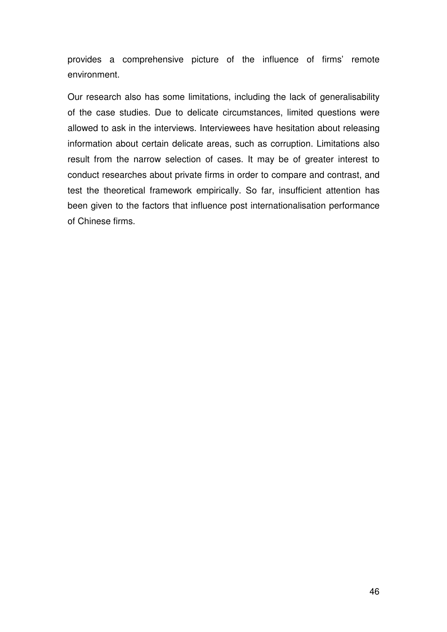provides a comprehensive picture of the influence of firms' remote environment.

Our research also has some limitations, including the lack of generalisability of the case studies. Due to delicate circumstances, limited questions were allowed to ask in the interviews. Interviewees have hesitation about releasing information about certain delicate areas, such as corruption. Limitations also result from the narrow selection of cases. It may be of greater interest to conduct researches about private firms in order to compare and contrast, and test the theoretical framework empirically. So far, insufficient attention has been given to the factors that influence post internationalisation performance of Chinese firms.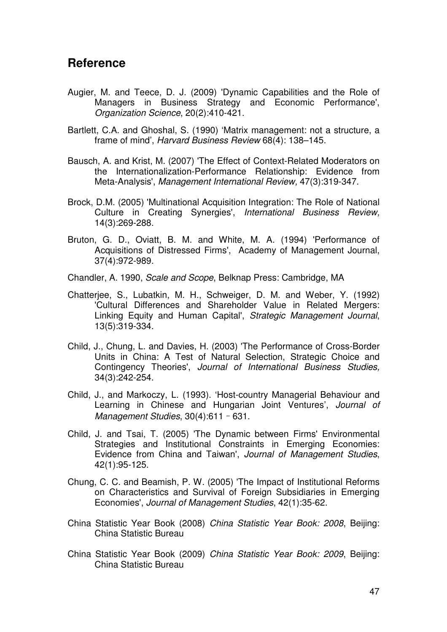### **Reference**

- Augier, M. and Teece, D. J. (2009) 'Dynamic Capabilities and the Role of Managers in Business Strategy and Economic Performance', Organization Science, 20(2):410-421.
- Bartlett, C.A. and Ghoshal, S. (1990) 'Matrix management: not a structure, a frame of mind', Harvard Business Review 68(4): 138–145.
- Bausch, A. and Krist, M. (2007) 'The Effect of Context-Related Moderators on the Internationalization-Performance Relationship: Evidence from Meta-Analysis', Management International Review, 47(3):319-347.
- Brock, D.M. (2005) 'Multinational Acquisition Integration: The Role of National Culture in Creating Synergies', International Business Review, 14(3):269-288.
- Bruton, G. D., Oviatt, B. M. and White, M. A. (1994) 'Performance of Acquisitions of Distressed Firms', Academy of Management Journal, 37(4):972-989.
- Chandler, A. 1990, Scale and Scope, Belknap Press: Cambridge, MA
- Chatterjee, S., Lubatkin, M. H., Schweiger, D. M. and Weber, Y. (1992) 'Cultural Differences and Shareholder Value in Related Mergers: Linking Equity and Human Capital', Strategic Management Journal, 13(5):319-334.
- Child, J., Chung, L. and Davies, H. (2003) 'The Performance of Cross-Border Units in China: A Test of Natural Selection, Strategic Choice and Contingency Theories', Journal of International Business Studies, 34(3):242-254.
- Child, J., and Markoczy, L. (1993). 'Host-country Managerial Behaviour and Learning in Chinese and Hungarian Joint Ventures', Journal of Management Studies, 30(4):611 - 631.
- Child, J. and Tsai, T. (2005) 'The Dynamic between Firms' Environmental Strategies and Institutional Constraints in Emerging Economies: Evidence from China and Taiwan', Journal of Management Studies, 42(1):95-125.
- Chung, C. C. and Beamish, P. W. (2005) 'The Impact of Institutional Reforms on Characteristics and Survival of Foreign Subsidiaries in Emerging Economies', Journal of Management Studies, 42(1):35-62.
- China Statistic Year Book (2008) China Statistic Year Book: 2008, Beijing: China Statistic Bureau
- China Statistic Year Book (2009) China Statistic Year Book: 2009, Beijing: China Statistic Bureau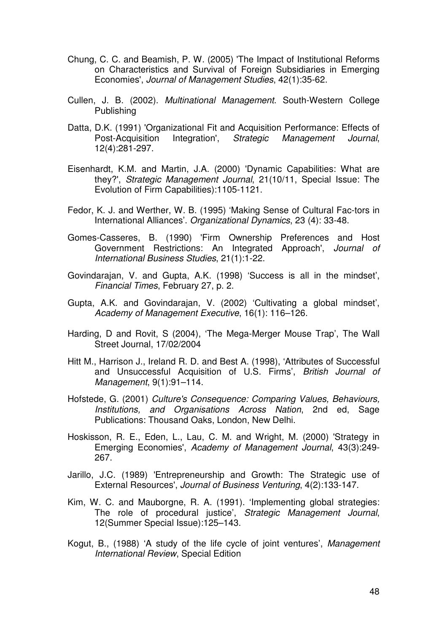- Chung, C. C. and Beamish, P. W. (2005) 'The Impact of Institutional Reforms on Characteristics and Survival of Foreign Subsidiaries in Emerging Economies', Journal of Management Studies, 42(1):35-62.
- Cullen, J. B. (2002). Multinational Management. South-Western College Publishing
- Datta, D.K. (1991) 'Organizational Fit and Acquisition Performance: Effects of Post-Acquisition Integration', Strategic Management Journal, 12(4):281-297.
- Eisenhardt, K.M. and Martin, J.A. (2000) 'Dynamic Capabilities: What are they?', Strategic Management Journal, 21(10/11, Special Issue: The Evolution of Firm Capabilities):1105-1121.
- Fedor, K. J. and Werther, W. B. (1995) 'Making Sense of Cultural Fac-tors in International Alliances'. Organizational Dynamics, 23 (4): 33-48.
- Gomes-Casseres, B. (1990) 'Firm Ownership Preferences and Host Government Restrictions: An Integrated Approach', Journal of International Business Studies, 21(1):1-22.
- Govindarajan, V. and Gupta, A.K. (1998) 'Success is all in the mindset', Financial Times, February 27, p. 2.
- Gupta, A.K. and Govindarajan, V. (2002) 'Cultivating a global mindset', Academy of Management Executive, 16(1): 116–126.
- Harding, D and Rovit, S (2004), 'The Mega-Merger Mouse Trap', The Wall Street Journal, 17/02/2004
- Hitt M., Harrison J., Ireland R. D. and Best A. (1998), 'Attributes of Successful and Unsuccessful Acquisition of U.S. Firms', British Journal of Management, 9(1):91–114.
- Hofstede, G. (2001) Culture's Consequence: Comparing Values, Behaviours, Institutions, and Organisations Across Nation, 2nd ed, Sage Publications: Thousand Oaks, London, New Delhi.
- Hoskisson, R. E., Eden, L., Lau, C. M. and Wright, M. (2000) 'Strategy in Emerging Economies', Academy of Management Journal, 43(3):249- 267.
- Jarillo, J.C. (1989) 'Entrepreneurship and Growth: The Strategic use of External Resources', Journal of Business Venturing, 4(2):133-147.
- Kim, W. C. and Mauborgne, R. A. (1991). 'Implementing global strategies: The role of procedural justice', Strategic Management Journal, 12(Summer Special Issue):125–143.
- Kogut, B., (1988) 'A study of the life cycle of joint ventures', Management International Review, Special Edition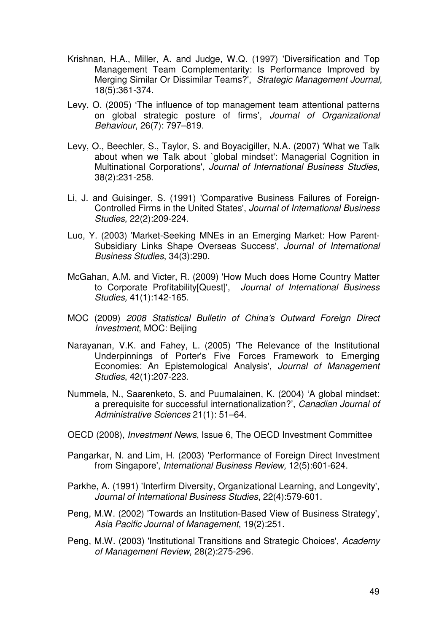- Krishnan, H.A., Miller, A. and Judge, W.Q. (1997) 'Diversification and Top Management Team Complementarity: Is Performance Improved by Merging Similar Or Dissimilar Teams?', Strategic Management Journal, 18(5):361-374.
- Levy, O. (2005) 'The influence of top management team attentional patterns on global strategic posture of firms', Journal of Organizational Behaviour, 26(7): 797–819.
- Levy, O., Beechler, S., Taylor, S. and Boyacigiller, N.A. (2007) 'What we Talk about when we Talk about `global mindset': Managerial Cognition in Multinational Corporations', Journal of International Business Studies, 38(2):231-258.
- Li, J. and Guisinger, S. (1991) 'Comparative Business Failures of Foreign-Controlled Firms in the United States', Journal of International Business Studies, 22(2):209-224.
- Luo, Y. (2003) 'Market-Seeking MNEs in an Emerging Market: How Parent-Subsidiary Links Shape Overseas Success', Journal of International Business Studies, 34(3):290.
- McGahan, A.M. and Victer, R. (2009) 'How Much does Home Country Matter to Corporate Profitability[Quest]', Journal of International Business Studies, 41(1):142-165.
- MOC (2009) 2008 Statistical Bulletin of China's Outward Foreign Direct Investment, MOC: Beijing
- Narayanan, V.K. and Fahey, L. (2005) 'The Relevance of the Institutional Underpinnings of Porter's Five Forces Framework to Emerging Economies: An Epistemological Analysis', Journal of Management Studies, 42(1):207-223.
- Nummela, N., Saarenketo, S. and Puumalainen, K. (2004) 'A global mindset: a prerequisite for successful internationalization?', Canadian Journal of Administrative Sciences 21(1): 51–64.
- OECD (2008), Investment News, Issue 6, The OECD Investment Committee
- Pangarkar, N. and Lim, H. (2003) 'Performance of Foreign Direct Investment from Singapore', International Business Review, 12(5):601-624.
- Parkhe, A. (1991) 'Interfirm Diversity, Organizational Learning, and Longevity', Journal of International Business Studies, 22(4):579-601.
- Peng, M.W. (2002) 'Towards an Institution-Based View of Business Strategy', Asia Pacific Journal of Management, 19(2):251.
- Peng, M.W. (2003) 'Institutional Transitions and Strategic Choices', Academy of Management Review, 28(2):275-296.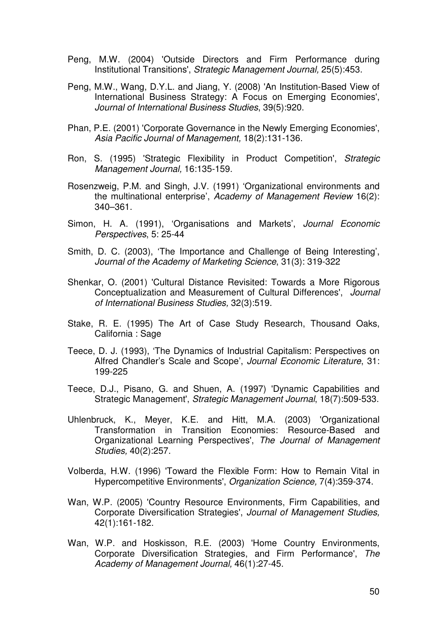- Peng, M.W. (2004) 'Outside Directors and Firm Performance during Institutional Transitions', Strategic Management Journal, 25(5):453.
- Peng, M.W., Wang, D.Y.L. and Jiang, Y. (2008) 'An Institution-Based View of International Business Strategy: A Focus on Emerging Economies', Journal of International Business Studies, 39(5):920.
- Phan, P.E. (2001) 'Corporate Governance in the Newly Emerging Economies', Asia Pacific Journal of Management, 18(2):131-136.
- Ron, S. (1995) 'Strategic Flexibility in Product Competition', Strategic Management Journal, 16:135-159.
- Rosenzweig, P.M. and Singh, J.V. (1991) 'Organizational environments and the multinational enterprise', Academy of Management Review 16(2): 340–361.
- Simon, H. A. (1991), 'Organisations and Markets', Journal Economic Perspectives, 5: 25-44
- Smith, D. C. (2003), 'The Importance and Challenge of Being Interesting', Journal of the Academy of Marketing Science, 31(3): 319-322
- Shenkar, O. (2001) 'Cultural Distance Revisited: Towards a More Rigorous Conceptualization and Measurement of Cultural Differences', Journal of International Business Studies, 32(3):519.
- Stake, R. E. (1995) The Art of Case Study Research, Thousand Oaks, California : Sage
- Teece, D. J. (1993), 'The Dynamics of Industrial Capitalism: Perspectives on Alfred Chandler's Scale and Scope', Journal Economic Literature, 31: 199-225
- Teece, D.J., Pisano, G. and Shuen, A. (1997) 'Dynamic Capabilities and Strategic Management', Strategic Management Journal, 18(7):509-533.
- Uhlenbruck, K., Meyer, K.E. and Hitt, M.A. (2003) 'Organizational Transformation in Transition Economies: Resource-Based and Organizational Learning Perspectives', The Journal of Management Studies, 40(2):257.
- Volberda, H.W. (1996) 'Toward the Flexible Form: How to Remain Vital in Hypercompetitive Environments', Organization Science, 7(4):359-374.
- Wan, W.P. (2005) 'Country Resource Environments, Firm Capabilities, and Corporate Diversification Strategies', Journal of Management Studies, 42(1):161-182.
- Wan, W.P. and Hoskisson, R.E. (2003) 'Home Country Environments, Corporate Diversification Strategies, and Firm Performance', The Academy of Management Journal, 46(1):27-45.